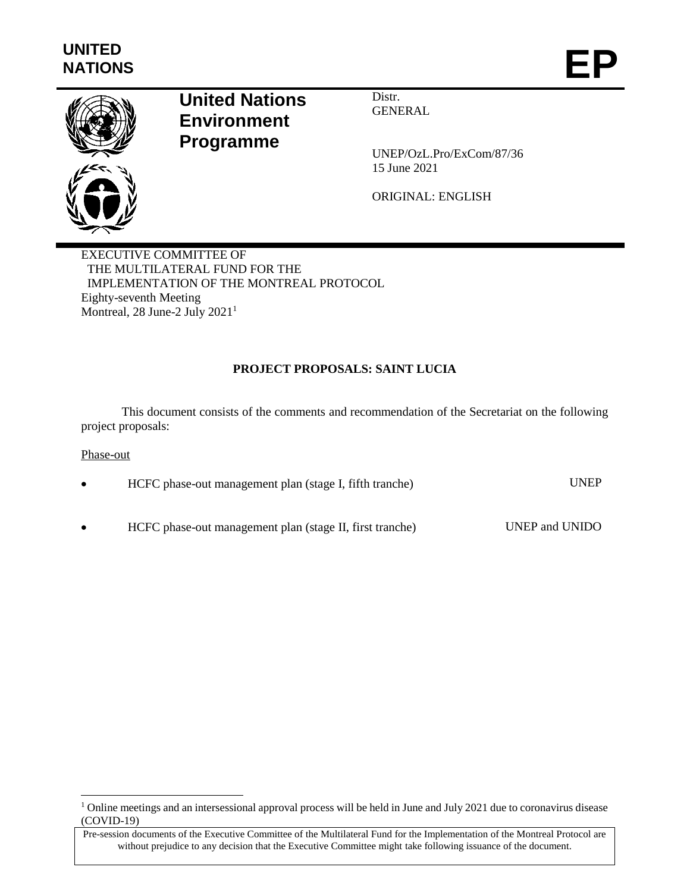

# **United Nations Environment Programme**

Distr. **GENERAL** 

UNEP/OzL.Pro/ExCom/87/36 15 June 2021

ORIGINAL: ENGLISH

EXECUTIVE COMMITTEE OF THE MULTILATERAL FUND FOR THE IMPLEMENTATION OF THE MONTREAL PROTOCOL Eighty-seventh Meeting Montreal, 28 June-2 July 2021<sup>1</sup>

# **PROJECT PROPOSALS: SAINT LUCIA**

This document consists of the comments and recommendation of the Secretariat on the following project proposals:

# Phase-out

 $\overline{\phantom{a}}$ 

| $\bullet$ | HCFC phase-out management plan (stage I, fifth tranche)  | <b>UNEP</b>    |
|-----------|----------------------------------------------------------|----------------|
|           |                                                          |                |
| $\bullet$ | HCFC phase-out management plan (stage II, first tranche) | UNEP and UNIDO |

<sup>&</sup>lt;sup>1</sup> Online meetings and an intersessional approval process will be held in June and July 2021 due to coronavirus disease (COVID-19)

Pre-session documents of the Executive Committee of the Multilateral Fund for the Implementation of the Montreal Protocol are without prejudice to any decision that the Executive Committee might take following issuance of the document.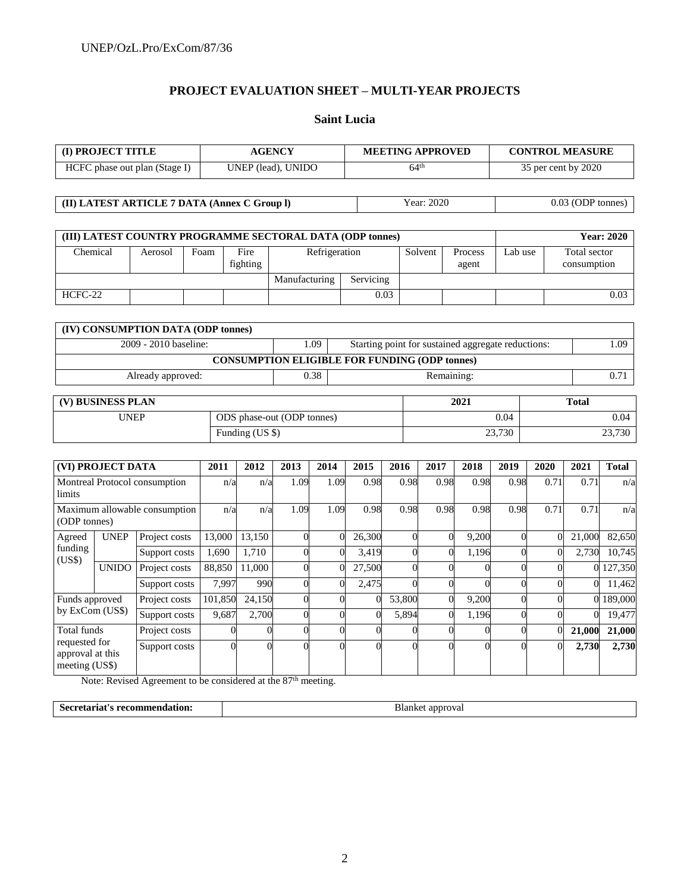# **PROJECT EVALUATION SHEET – MULTI-YEAR PROJECTS**

#### **Saint Lucia**

| (I) PROJECT TITLE                            |                       |      |                  | <b>AGENCY</b>                                             |                                                    | <b>MEETING APPROVED</b> |                  | <b>CONTROL MEASURE</b> |  |                             |  |
|----------------------------------------------|-----------------------|------|------------------|-----------------------------------------------------------|----------------------------------------------------|-------------------------|------------------|------------------------|--|-----------------------------|--|
| HCFC phase out plan (Stage I)                |                       |      |                  | UNEP (lead), UNIDO                                        |                                                    | 64 <sup>th</sup>        |                  | 35 per cent by 2020    |  |                             |  |
|                                              |                       |      |                  |                                                           |                                                    |                         |                  |                        |  |                             |  |
| (II) LATEST ARTICLE 7 DATA (Annex C Group I) |                       |      |                  |                                                           |                                                    | Year: 2020              |                  |                        |  | 0.03 (ODP tonnes)           |  |
|                                              |                       |      |                  |                                                           |                                                    |                         |                  |                        |  |                             |  |
|                                              |                       |      |                  | (III) LATEST COUNTRY PROGRAMME SECTORAL DATA (ODP tonnes) |                                                    |                         |                  |                        |  | <b>Year: 2020</b>           |  |
| Chemical                                     | Aerosol               | Foam | Fire<br>fighting | Refrigeration                                             |                                                    | Solvent                 | Process<br>agent | Lab use                |  | Total sector<br>consumption |  |
|                                              |                       |      |                  | Manufacturing                                             | Servicing                                          |                         |                  |                        |  |                             |  |
| HCFC-22                                      |                       |      |                  |                                                           | 0.03                                               |                         |                  |                        |  | 0.03                        |  |
|                                              |                       |      |                  |                                                           |                                                    |                         |                  |                        |  |                             |  |
| (IV) CONSUMPTION DATA (ODP tonnes)           |                       |      |                  |                                                           |                                                    |                         |                  |                        |  |                             |  |
|                                              | 2009 - 2010 baseline: |      |                  | 1.09                                                      | Starting point for sustained aggregate reductions: |                         |                  |                        |  | 1.09                        |  |

| <b>CONSUMPTION ELIGIBLE FOR FUNDING (ODP tonnes)</b> |                 |                            |        |      |  |  |  |  |  |  |
|------------------------------------------------------|-----------------|----------------------------|--------|------|--|--|--|--|--|--|
| 0.38<br>Remaining:<br>Already approved:              |                 |                            |        |      |  |  |  |  |  |  |
|                                                      |                 |                            |        |      |  |  |  |  |  |  |
| (V) BUSINESS PLAN                                    | 2021            | <b>Total</b>               |        |      |  |  |  |  |  |  |
| <b>UNEP</b>                                          |                 | ODS phase-out (ODP tonnes) |        | 0.04 |  |  |  |  |  |  |
|                                                      | Funding (US \$) | 23,730                     | 23,730 |      |  |  |  |  |  |  |

|                                                                    | (VI) PROJECT DATA |               | 2011    | 2012   | 2013           | 2014 | 2015   | 2016   | 2017 | 2018  | 2019     | 2020 | 2021   | <b>Total</b> |
|--------------------------------------------------------------------|-------------------|---------------|---------|--------|----------------|------|--------|--------|------|-------|----------|------|--------|--------------|
| Montreal Protocol consumption<br>limits                            |                   | n/a           | n/a     | 1.09   | 1.09           | 0.98 | 0.98   | 0.98   | 0.98 | 0.98  | 0.71     | 0.71 | n/a    |              |
| Maximum allowable consumption<br>(ODP tonnes)                      |                   | n/a           | n/a     | 1.09   | 1.09           | 0.98 | 0.98   | 0.98   | 0.98 | 0.98  | 0.71     | 0.71 | n/a    |              |
| Agreed                                                             | <b>UNEP</b>       | Project costs | 13,000  | 13,150 | 0              |      | 26,300 |        |      | 9,200 |          |      | 21,000 | 82,650       |
| funding<br>(US\$)                                                  |                   | Support costs | 1.690   | 1.710  | 0              | 0    | 3,419  |        | 0    | 1,196 |          |      | 2,730  | 10,745       |
|                                                                    | <b>UNIDO</b>      | Project costs | 88,850  | 11,000 | 0              |      | 27,500 |        |      |       |          |      |        | 0 127,350    |
|                                                                    |                   | Support costs | 7.997   | 990    | $\overline{0}$ |      | 2,475  |        |      |       |          |      |        | 11,462       |
| Funds approved                                                     |                   | Project costs | 101,850 | 24,150 | 0              |      |        | 53,800 |      | 9,200 |          |      |        | 0 189,000    |
| by ExCom (US\$)                                                    |                   | Support costs | 9,687   | 2,700  | $\theta$       |      |        | 5,894  | 0    | 1,196 | $\Omega$ |      |        | 19,477       |
| Total funds<br>requested for<br>approval at this<br>meeting (US\$) |                   | Project costs |         |        | $\Omega$       |      |        |        |      |       |          |      | 21,000 | 21,000       |
|                                                                    |                   | Support costs |         |        | 0              |      |        |        |      |       |          |      | 2,730  | 2,730        |

Note: Revised Agreement to be considered at the 87<sup>th</sup> meeting.

| Secretariat's     | : approval |
|-------------------|------------|
| s recommendation: | 3ianke.    |
| .                 |            |
|                   |            |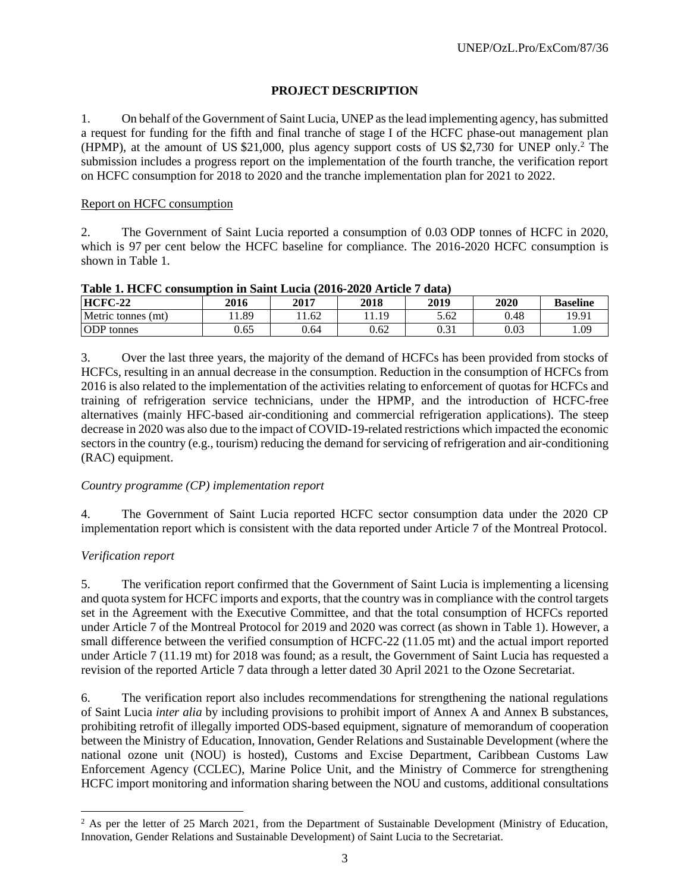# **PROJECT DESCRIPTION**

1. On behalf of the Government of Saint Lucia, UNEP as the lead implementing agency, has submitted a request for funding for the fifth and final tranche of stage I of the HCFC phase-out management plan (HPMP), at the amount of US  $$21,000$ , plus agency support costs of US  $$2,730$  for UNEP only.<sup>2</sup> The submission includes a progress report on the implementation of the fourth tranche, the verification report on HCFC consumption for 2018 to 2020 and the tranche implementation plan for 2021 to 2022.

# Report on HCFC consumption

2. The Government of Saint Lucia reported a consumption of 0.03 ODP tonnes of HCFC in 2020, which is 97 per cent below the HCFC baseline for compliance. The 2016-2020 HCFC consumption is shown in Table 1.

| Table 1. Her e consumption in paint Eucla (2010-2020 Article / Gata) |      |      |      |      |      |                 |  |  |  |  |
|----------------------------------------------------------------------|------|------|------|------|------|-----------------|--|--|--|--|
| $HCFC-22$                                                            | 2016 | 2017 | 2018 | 2019 | 2020 | <b>Baseline</b> |  |  |  |  |
| Metric tonnes (mt)                                                   | 1.89 | 1.62 | 1.19 | 5.62 | 0.48 | 19.91           |  |  |  |  |
| <b>ODP</b> tonnes                                                    | 0.65 | 0.64 | 0.62 | 0.31 | 0.03 | .09             |  |  |  |  |

**Table 1. HCFC consumption in Saint Lucia (2016-2020 Article 7 data)**

3. Over the last three years, the majority of the demand of HCFCs has been provided from stocks of HCFCs, resulting in an annual decrease in the consumption. Reduction in the consumption of HCFCs from 2016 is also related to the implementation of the activities relating to enforcement of quotas for HCFCs and training of refrigeration service technicians, under the HPMP, and the introduction of HCFC-free alternatives (mainly HFC-based air-conditioning and commercial refrigeration applications). The steep decrease in 2020 was also due to the impact of COVID-19-related restrictions which impacted the economic sectors in the country (e.g., tourism) reducing the demand for servicing of refrigeration and air-conditioning (RAC) equipment.

# *Country programme (CP) implementation report*

4. The Government of Saint Lucia reported HCFC sector consumption data under the 2020 CP implementation report which is consistent with the data reported under Article 7 of the Montreal Protocol.

# *Verification report*

 $\overline{\phantom{a}}$ 

5. The verification report confirmed that the Government of Saint Lucia is implementing a licensing and quota system for HCFC imports and exports, that the country was in compliance with the control targets set in the Agreement with the Executive Committee, and that the total consumption of HCFCs reported under Article 7 of the Montreal Protocol for 2019 and 2020 was correct (as shown in Table 1). However, a small difference between the verified consumption of HCFC-22 (11.05 mt) and the actual import reported under Article 7 (11.19 mt) for 2018 was found; as a result, the Government of Saint Lucia has requested a revision of the reported Article 7 data through a letter dated 30 April 2021 to the Ozone Secretariat.

6. The verification report also includes recommendations for strengthening the national regulations of Saint Lucia *inter alia* by including provisions to prohibit import of Annex A and Annex B substances, prohibiting retrofit of illegally imported ODS-based equipment, signature of memorandum of cooperation between the Ministry of Education, Innovation, Gender Relations and Sustainable Development (where the national ozone unit (NOU) is hosted), Customs and Excise Department, Caribbean Customs Law Enforcement Agency (CCLEC), Marine Police Unit, and the Ministry of Commerce for strengthening HCFC import monitoring and information sharing between the NOU and customs, additional consultations

 $<sup>2</sup>$  As per the letter of 25 March 2021, from the Department of Sustainable Development (Ministry of Education,</sup> Innovation, Gender Relations and Sustainable Development) of Saint Lucia to the Secretariat.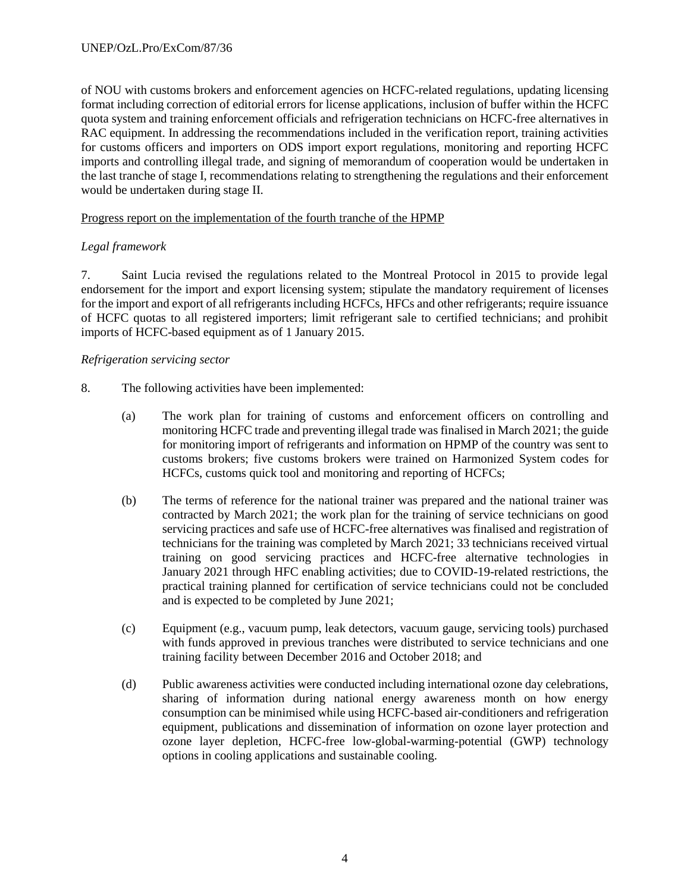of NOU with customs brokers and enforcement agencies on HCFC-related regulations, updating licensing format including correction of editorial errors for license applications, inclusion of buffer within the HCFC quota system and training enforcement officials and refrigeration technicians on HCFC-free alternatives in RAC equipment. In addressing the recommendations included in the verification report, training activities for customs officers and importers on ODS import export regulations, monitoring and reporting HCFC imports and controlling illegal trade, and signing of memorandum of cooperation would be undertaken in the last tranche of stage I, recommendations relating to strengthening the regulations and their enforcement would be undertaken during stage II.

# Progress report on the implementation of the fourth tranche of the HPMP

# *Legal framework*

7. Saint Lucia revised the regulations related to the Montreal Protocol in 2015 to provide legal endorsement for the import and export licensing system; stipulate the mandatory requirement of licenses for the import and export of all refrigerants including HCFCs, HFCs and other refrigerants; require issuance of HCFC quotas to all registered importers; limit refrigerant sale to certified technicians; and prohibit imports of HCFC-based equipment as of 1 January 2015.

# *Refrigeration servicing sector*

- 8. The following activities have been implemented:
	- (a) The work plan for training of customs and enforcement officers on controlling and monitoring HCFC trade and preventing illegal trade was finalised in March 2021; the guide for monitoring import of refrigerants and information on HPMP of the country was sent to customs brokers; five customs brokers were trained on Harmonized System codes for HCFCs, customs quick tool and monitoring and reporting of HCFCs;
	- (b) The terms of reference for the national trainer was prepared and the national trainer was contracted by March 2021; the work plan for the training of service technicians on good servicing practices and safe use of HCFC-free alternatives was finalised and registration of technicians for the training was completed by March 2021; 33 technicians received virtual training on good servicing practices and HCFC-free alternative technologies in January 2021 through HFC enabling activities; due to COVID-19-related restrictions, the practical training planned for certification of service technicians could not be concluded and is expected to be completed by June 2021;
	- (c) Equipment (e.g., vacuum pump, leak detectors, vacuum gauge, servicing tools) purchased with funds approved in previous tranches were distributed to service technicians and one training facility between December 2016 and October 2018; and
	- (d) Public awareness activities were conducted including international ozone day celebrations, sharing of information during national energy awareness month on how energy consumption can be minimised while using HCFC-based air-conditioners and refrigeration equipment, publications and dissemination of information on ozone layer protection and ozone layer depletion, HCFC-free low-global-warming-potential (GWP) technology options in cooling applications and sustainable cooling.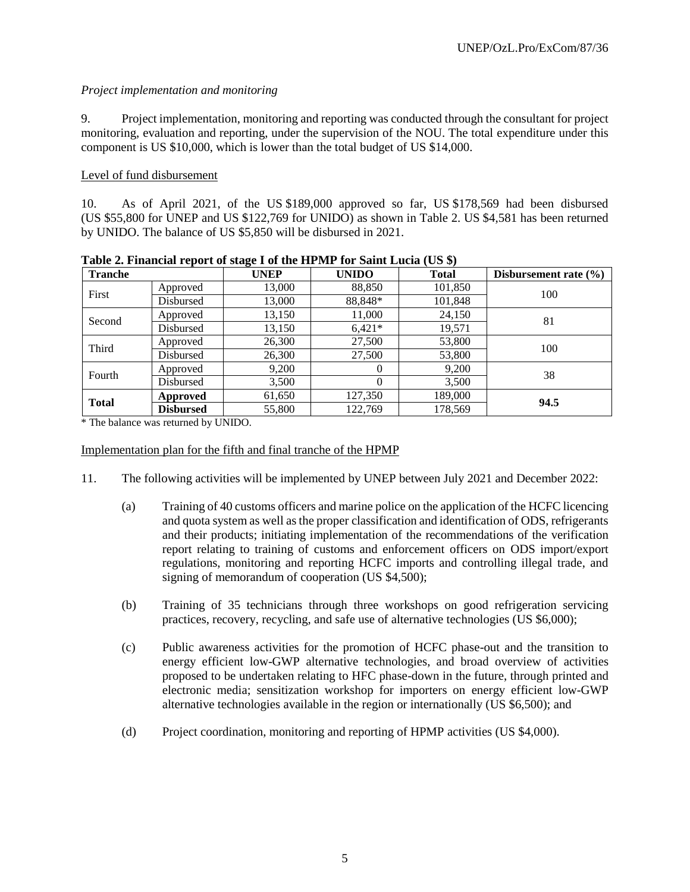# *Project implementation and monitoring*

9. Project implementation, monitoring and reporting was conducted through the consultant for project monitoring, evaluation and reporting, under the supervision of the NOU. The total expenditure under this component is US \$10,000, which is lower than the total budget of US \$14,000.

# Level of fund disbursement

10. As of April 2021, of the US \$189,000 approved so far, US \$178,569 had been disbursed (US \$55,800 for UNEP and US \$122,769 for UNIDO) as shown in Table 2. US \$4,581 has been returned by UNIDO. The balance of US \$5,850 will be disbursed in 2021.

| <b>Tranche</b> |                  | <b>UNEP</b> | <b>UNIDO</b> | <b>Total</b> | Disbursement rate $(\% )$ |
|----------------|------------------|-------------|--------------|--------------|---------------------------|
| First          | Approved         | 13,000      | 88,850       | 101,850      | 100                       |
|                | Disbursed        | 13,000      | 88,848*      | 101,848      |                           |
|                | Approved         | 13,150      | 11,000       | 24,150       | 81                        |
| Second         | Disbursed        | 13,150      | $6.421*$     | 19,571       |                           |
|                | Approved         | 26,300      | 27,500       | 53,800       | 100                       |
| Third          | Disbursed        | 26,300      | 27,500       | 53,800       |                           |
| Fourth         | Approved         | 9,200       | $\theta$     | 9,200        | 38                        |
|                | Disbursed        | 3,500       | $\Omega$     | 3,500        |                           |
| <b>Total</b>   | Approved         |             | 127,350      | 189,000      | 94.5                      |
|                | <b>Disbursed</b> | 55,800      | 122.769      | 178,569      |                           |

**Table 2. Financial report of stage I of the HPMP for Saint Lucia (US \$)**

\* The balance was returned by UNIDO.

# Implementation plan for the fifth and final tranche of the HPMP

- 11. The following activities will be implemented by UNEP between July 2021 and December 2022:
	- (a) Training of 40 customs officers and marine police on the application of the HCFC licencing and quota system as well as the proper classification and identification of ODS, refrigerants and their products; initiating implementation of the recommendations of the verification report relating to training of customs and enforcement officers on ODS import/export regulations, monitoring and reporting HCFC imports and controlling illegal trade, and signing of memorandum of cooperation (US \$4,500);
	- (b) Training of 35 technicians through three workshops on good refrigeration servicing practices, recovery, recycling, and safe use of alternative technologies (US \$6,000);
	- (c) Public awareness activities for the promotion of HCFC phase-out and the transition to energy efficient low-GWP alternative technologies, and broad overview of activities proposed to be undertaken relating to HFC phase-down in the future, through printed and electronic media; sensitization workshop for importers on energy efficient low-GWP alternative technologies available in the region or internationally (US \$6,500); and
	- (d) Project coordination, monitoring and reporting of HPMP activities (US \$4,000).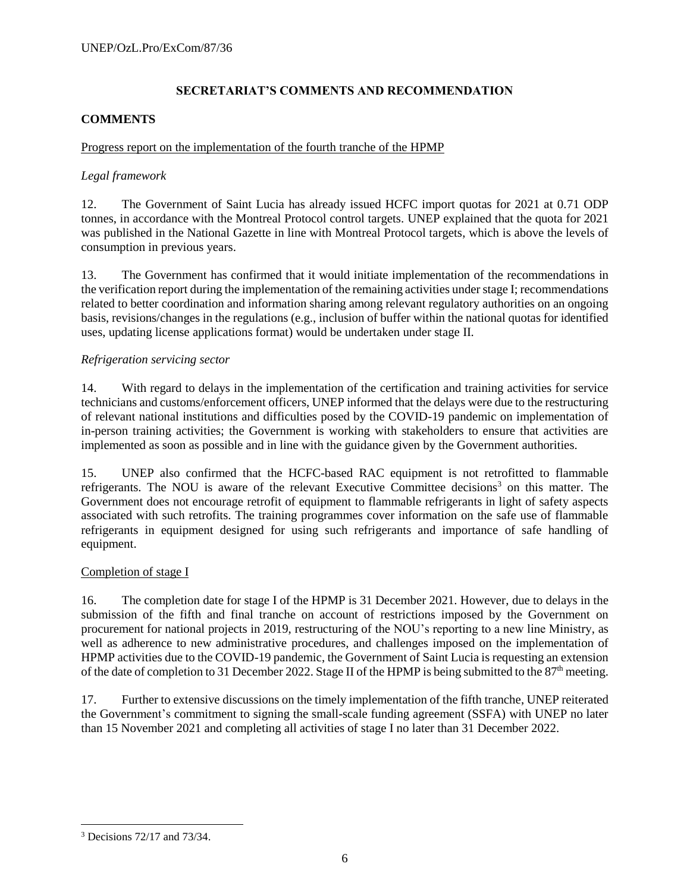# **SECRETARIAT'S COMMENTS AND RECOMMENDATION**

# **COMMENTS**

# Progress report on the implementation of the fourth tranche of the HPMP

# *Legal framework*

12. The Government of Saint Lucia has already issued HCFC import quotas for 2021 at 0.71 ODP tonnes, in accordance with the Montreal Protocol control targets. UNEP explained that the quota for 2021 was published in the National Gazette in line with Montreal Protocol targets, which is above the levels of consumption in previous years.

13. The Government has confirmed that it would initiate implementation of the recommendations in the verification report during the implementation of the remaining activities under stage I; recommendations related to better coordination and information sharing among relevant regulatory authorities on an ongoing basis, revisions/changes in the regulations (e.g., inclusion of buffer within the national quotas for identified uses, updating license applications format) would be undertaken under stage II.

# *Refrigeration servicing sector*

14. With regard to delays in the implementation of the certification and training activities for service technicians and customs/enforcement officers, UNEP informed that the delays were due to the restructuring of relevant national institutions and difficulties posed by the COVID-19 pandemic on implementation of in-person training activities; the Government is working with stakeholders to ensure that activities are implemented as soon as possible and in line with the guidance given by the Government authorities.

15. UNEP also confirmed that the HCFC-based RAC equipment is not retrofitted to flammable refrigerants. The NOU is aware of the relevant Executive Committee decisions<sup>3</sup> on this matter. The Government does not encourage retrofit of equipment to flammable refrigerants in light of safety aspects associated with such retrofits. The training programmes cover information on the safe use of flammable refrigerants in equipment designed for using such refrigerants and importance of safe handling of equipment.

# Completion of stage I

16. The completion date for stage I of the HPMP is 31 December 2021. However, due to delays in the submission of the fifth and final tranche on account of restrictions imposed by the Government on procurement for national projects in 2019, restructuring of the NOU's reporting to a new line Ministry, as well as adherence to new administrative procedures, and challenges imposed on the implementation of HPMP activities due to the COVID-19 pandemic, the Government of Saint Lucia is requesting an extension of the date of completion to 31 December 2022. Stage II of the HPMP is being submitted to the 87<sup>th</sup> meeting.

17. Further to extensive discussions on the timely implementation of the fifth tranche, UNEP reiterated the Government's commitment to signing the small-scale funding agreement (SSFA) with UNEP no later than 15 November 2021 and completing all activities of stage I no later than 31 December 2022.

 $\overline{a}$ <sup>3</sup> Decisions 72/17 and 73/34.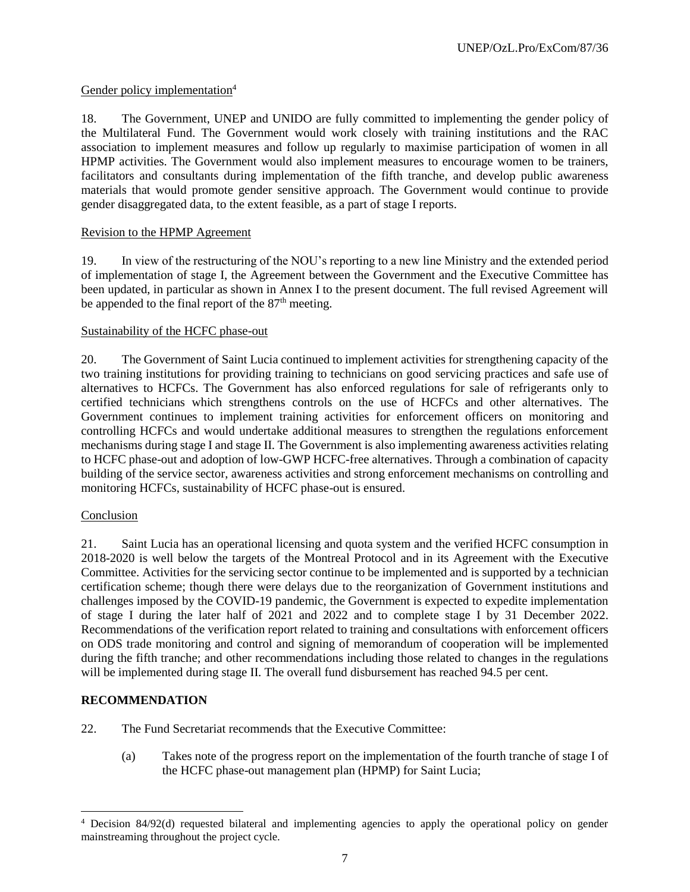# Gender policy implementation<sup>4</sup>

18. The Government, UNEP and UNIDO are fully committed to implementing the gender policy of the Multilateral Fund. The Government would work closely with training institutions and the RAC association to implement measures and follow up regularly to maximise participation of women in all HPMP activities. The Government would also implement measures to encourage women to be trainers, facilitators and consultants during implementation of the fifth tranche, and develop public awareness materials that would promote gender sensitive approach. The Government would continue to provide gender disaggregated data, to the extent feasible, as a part of stage I reports.

# Revision to the HPMP Agreement

19. In view of the restructuring of the NOU's reporting to a new line Ministry and the extended period of implementation of stage I, the Agreement between the Government and the Executive Committee has been updated, in particular as shown in Annex I to the present document. The full revised Agreement will be appended to the final report of the  $87<sup>th</sup>$  meeting.

# Sustainability of the HCFC phase-out

20. The Government of Saint Lucia continued to implement activities for strengthening capacity of the two training institutions for providing training to technicians on good servicing practices and safe use of alternatives to HCFCs. The Government has also enforced regulations for sale of refrigerants only to certified technicians which strengthens controls on the use of HCFCs and other alternatives. The Government continues to implement training activities for enforcement officers on monitoring and controlling HCFCs and would undertake additional measures to strengthen the regulations enforcement mechanisms during stage I and stage II. The Government is also implementing awareness activities relating to HCFC phase-out and adoption of low-GWP HCFC-free alternatives. Through a combination of capacity building of the service sector, awareness activities and strong enforcement mechanisms on controlling and monitoring HCFCs, sustainability of HCFC phase-out is ensured.

# Conclusion

21. Saint Lucia has an operational licensing and quota system and the verified HCFC consumption in 2018-2020 is well below the targets of the Montreal Protocol and in its Agreement with the Executive Committee. Activities for the servicing sector continue to be implemented and is supported by a technician certification scheme; though there were delays due to the reorganization of Government institutions and challenges imposed by the COVID-19 pandemic, the Government is expected to expedite implementation of stage I during the later half of 2021 and 2022 and to complete stage I by 31 December 2022. Recommendations of the verification report related to training and consultations with enforcement officers on ODS trade monitoring and control and signing of memorandum of cooperation will be implemented during the fifth tranche; and other recommendations including those related to changes in the regulations will be implemented during stage II. The overall fund disbursement has reached 94.5 per cent.

# **RECOMMENDATION**

 $\overline{\phantom{a}}$ 

- 22. The Fund Secretariat recommends that the Executive Committee:
	- (a) Takes note of the progress report on the implementation of the fourth tranche of stage I of the HCFC phase-out management plan (HPMP) for Saint Lucia;

<sup>4</sup> Decision 84/92(d) requested bilateral and implementing agencies to apply the operational policy on gender mainstreaming throughout the project cycle.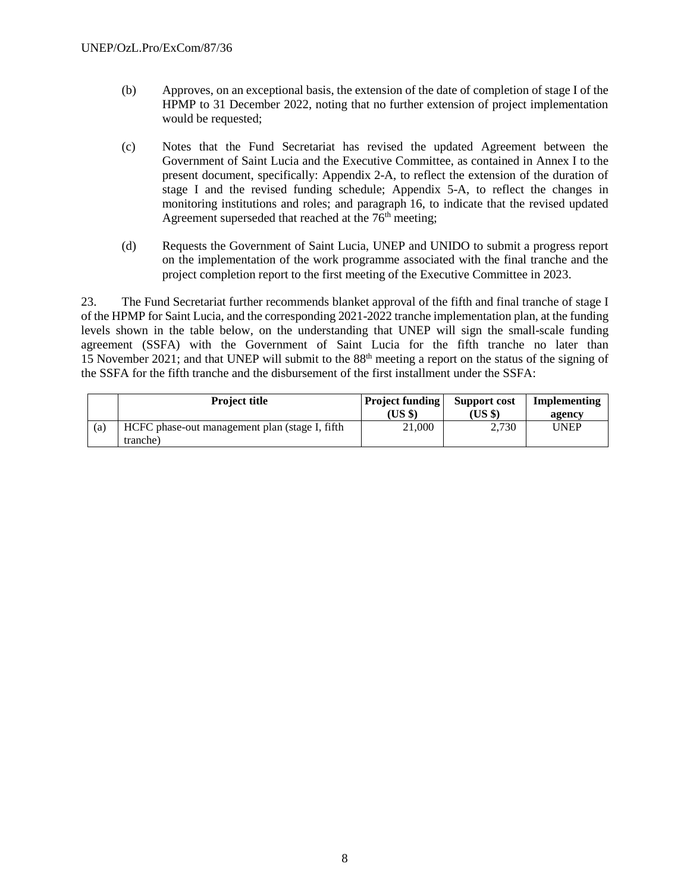- (b) Approves, on an exceptional basis, the extension of the date of completion of stage I of the HPMP to 31 December 2022, noting that no further extension of project implementation would be requested;
- (c) Notes that the Fund Secretariat has revised the updated Agreement between the Government of Saint Lucia and the Executive Committee, as contained in Annex I to the present document, specifically: Appendix 2-A, to reflect the extension of the duration of stage I and the revised funding schedule; Appendix 5-A, to reflect the changes in monitoring institutions and roles; and paragraph 16, to indicate that the revised updated Agreement superseded that reached at the 76<sup>th</sup> meeting;
- (d) Requests the Government of Saint Lucia, UNEP and UNIDO to submit a progress report on the implementation of the work programme associated with the final tranche and the project completion report to the first meeting of the Executive Committee in 2023.

23. The Fund Secretariat further recommends blanket approval of the fifth and final tranche of stage I of the HPMP for Saint Lucia, and the corresponding 2021-2022 tranche implementation plan, at the funding levels shown in the table below, on the understanding that UNEP will sign the small-scale funding agreement (SSFA) with the Government of Saint Lucia for the fifth tranche no later than 15 November 2021; and that UNEP will submit to the 88th meeting a report on the status of the signing of the SSFA for the fifth tranche and the disbursement of the first installment under the SSFA:

|     | <b>Project title</b>                           | <b>Project funding</b> | Support cost | Implementing |
|-----|------------------------------------------------|------------------------|--------------|--------------|
|     |                                                | (US \$)                | (US \$)      | agency       |
| (a) | HCFC phase-out management plan (stage I, fifth | 21.000                 | 2,730        | UNEP         |
|     | tranche)                                       |                        |              |              |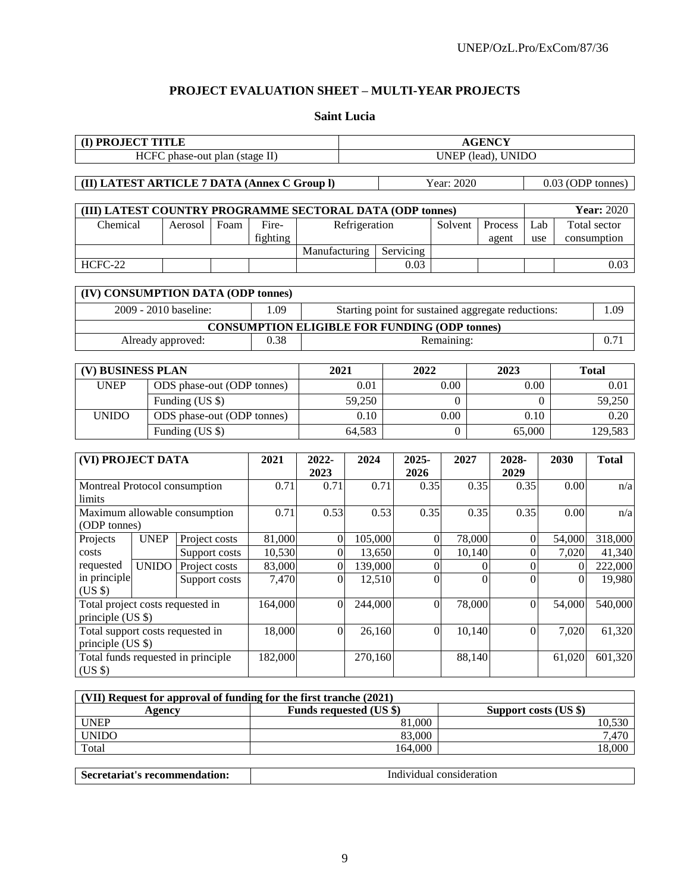# **PROJECT EVALUATION SHEET – MULTI-YEAR PROJECTS**

#### **Saint Lucia**

| (I) PROJECT TITLE                                                  |                                    |                 |               |                            |                         | <b>AGENCY</b>                                             |                                                      |                  |                  |                       |                  |                |                   |
|--------------------------------------------------------------------|------------------------------------|-----------------|---------------|----------------------------|-------------------------|-----------------------------------------------------------|------------------------------------------------------|------------------|------------------|-----------------------|------------------|----------------|-------------------|
|                                                                    | HCFC phase-out plan (stage II)     |                 |               |                            |                         |                                                           |                                                      |                  |                  | UNEP (lead), UNIDO    |                  |                |                   |
|                                                                    |                                    |                 |               |                            |                         |                                                           |                                                      |                  |                  |                       |                  |                |                   |
| (II) LATEST ARTICLE 7 DATA (Annex C Group I)                       |                                    |                 |               |                            |                         |                                                           |                                                      | Year: 2020       |                  |                       |                  |                | 0.03 (ODP tonnes) |
|                                                                    |                                    |                 |               |                            |                         |                                                           |                                                      |                  |                  |                       |                  |                |                   |
|                                                                    |                                    |                 |               |                            |                         | (III) LATEST COUNTRY PROGRAMME SECTORAL DATA (ODP tonnes) |                                                      |                  |                  |                       |                  |                | <b>Year: 2020</b> |
| Chemical                                                           |                                    | Aerosol         | Foam          | Fire-                      |                         | Refrigeration                                             |                                                      | Solvent          |                  | Process               | Lab              |                | Total sector      |
|                                                                    |                                    |                 |               | fighting                   |                         |                                                           |                                                      |                  |                  | agent                 | use              |                | consumption       |
|                                                                    |                                    |                 |               |                            | Manufacturing           |                                                           | Servicing                                            |                  |                  |                       |                  |                |                   |
| HCFC-22                                                            |                                    |                 |               |                            |                         |                                                           | 0.03                                                 |                  |                  |                       |                  |                | 0.03              |
| (IV) CONSUMPTION DATA (ODP tonnes)                                 |                                    |                 |               |                            |                         |                                                           |                                                      |                  |                  |                       |                  |                |                   |
|                                                                    | 2009 - 2010 baseline:              |                 |               | 1.09                       |                         |                                                           | Starting point for sustained aggregate reductions:   |                  |                  |                       |                  |                | 1.09              |
|                                                                    |                                    |                 |               |                            |                         |                                                           | <b>CONSUMPTION ELIGIBLE FOR FUNDING (ODP tonnes)</b> |                  |                  |                       |                  |                |                   |
|                                                                    | Already approved:                  |                 |               | 0.38                       |                         |                                                           |                                                      | Remaining:       |                  |                       |                  |                | 0.71              |
|                                                                    |                                    |                 |               |                            |                         |                                                           |                                                      |                  |                  |                       |                  |                |                   |
| (V) BUSINESS PLAN                                                  |                                    |                 |               |                            | 2021                    |                                                           | 2022                                                 |                  |                  | 2023                  |                  |                | <b>Total</b>      |
| <b>UNEP</b>                                                        |                                    |                 |               | ODS phase-out (ODP tonnes) |                         | 0.01                                                      |                                                      | 0.00             |                  |                       | 0.00             |                | 0.01              |
|                                                                    |                                    | Funding (US \$) |               |                            | 59,250                  |                                                           | $\Omega$                                             | $\theta$         |                  |                       | 59,250           |                |                   |
| ODS phase-out (ODP tonnes)<br><b>UNIDO</b>                         |                                    |                 |               |                            | 0.10                    |                                                           | $0.00\,$                                             |                  |                  | 0.10                  |                  | 0.20           |                   |
|                                                                    |                                    | Funding (US \$) |               |                            |                         | 64,583                                                    |                                                      | $\overline{0}$   |                  |                       | 65,000           |                | 129,583           |
|                                                                    |                                    |                 |               |                            |                         |                                                           |                                                      |                  |                  |                       |                  |                |                   |
| (VI) PROJECT DATA                                                  |                                    |                 |               | 2021                       | 2022-                   | 2024                                                      | 2025-                                                | 2027             |                  | 2028-                 |                  | 2030           | <b>Total</b>      |
|                                                                    |                                    |                 |               |                            | 2023                    |                                                           | 2026                                                 |                  |                  | 2029                  |                  |                |                   |
| Montreal Protocol consumption                                      |                                    |                 |               | 0.71                       | 0.71                    | 0.71                                                      | 0.35                                                 |                  | 0.35             | 0.35                  |                  | 0.00           | n/a               |
| limits                                                             |                                    |                 |               |                            |                         |                                                           |                                                      |                  |                  |                       |                  |                |                   |
| Maximum allowable consumption                                      |                                    |                 |               | 0.71                       | 0.53                    | 0.53                                                      | 0.35                                                 |                  | 0.35             | 0.35                  |                  | 0.00           | n/a               |
| (ODP tonnes)                                                       |                                    |                 |               |                            |                         |                                                           |                                                      |                  |                  |                       |                  |                |                   |
| Projects                                                           | <b>UNEP</b>                        | Project costs   |               | 81,000                     | $\overline{0}$          | 105,000                                                   |                                                      | $\boldsymbol{0}$ | 78,000           |                       | $\boldsymbol{0}$ | 54,000         | 318,000           |
| costs                                                              |                                    | Support costs   |               | 10,530                     | $\overline{0}$          | 13,650                                                    |                                                      | $\boldsymbol{0}$ | 10,140           |                       | $\boldsymbol{0}$ | 7,020          | 41,340            |
| requested                                                          | <b>UNIDO</b>                       | Project costs   |               | 83,000                     | $\overline{0}$          | 139,000                                                   |                                                      | $\boldsymbol{0}$ | $\boldsymbol{0}$ |                       | $\mathbf{0}$     | $\overline{0}$ | 222,000           |
| in principle<br>$(US \$                                            |                                    |                 | Support costs | 7,470                      | $\Omega$                | 12,510                                                    |                                                      | $\overline{0}$   | $\Omega$         |                       | $\Omega$         | $\Omega$       | 19,980            |
| Total project costs requested in                                   |                                    |                 |               | 164,000                    | $\overline{0}$          | 244,000                                                   |                                                      | $\boldsymbol{0}$ | 78,000           |                       | $\boldsymbol{0}$ | 54,000         | 540,000           |
| principle (US \$)                                                  |                                    |                 |               |                            |                         |                                                           |                                                      |                  |                  |                       |                  |                |                   |
| Total support costs requested in                                   |                                    |                 | 18,000        | $\boldsymbol{0}$           | 26,160                  |                                                           | $\boldsymbol{0}$                                     | 10,140           |                  | $\mathbf{0}$          | 7,020            | 61,320         |                   |
| principle (US \$)                                                  |                                    |                 |               |                            |                         |                                                           |                                                      |                  |                  |                       |                  |                |                   |
|                                                                    | Total funds requested in principle |                 |               | 182,000                    |                         | 270,160                                                   |                                                      |                  | 88,140           |                       |                  | 61,020         | 601,320           |
| (US \$)                                                            |                                    |                 |               |                            |                         |                                                           |                                                      |                  |                  |                       |                  |                |                   |
|                                                                    |                                    |                 |               |                            |                         |                                                           |                                                      |                  |                  |                       |                  |                |                   |
| (VII) Request for approval of funding for the first tranche (2021) |                                    |                 |               |                            |                         |                                                           |                                                      |                  |                  |                       |                  |                |                   |
| <b>UNEP</b>                                                        | Agency                             |                 |               |                            | Funds requested (US \$) |                                                           | 81,000                                               |                  |                  | Support costs (US \$) |                  |                | 10,530            |
| <b>UNIDO</b>                                                       |                                    |                 |               |                            |                         |                                                           | 83,000                                               |                  |                  |                       |                  |                | 7,470             |

| Secretariat's recommendation: | Individual consideration |
|-------------------------------|--------------------------|

 $\begin{array}{|c|c|c|c|c|}\n\hline\n\text{Total} & & & 164,000 & & & 18,000 \\
\hline\n\end{array}$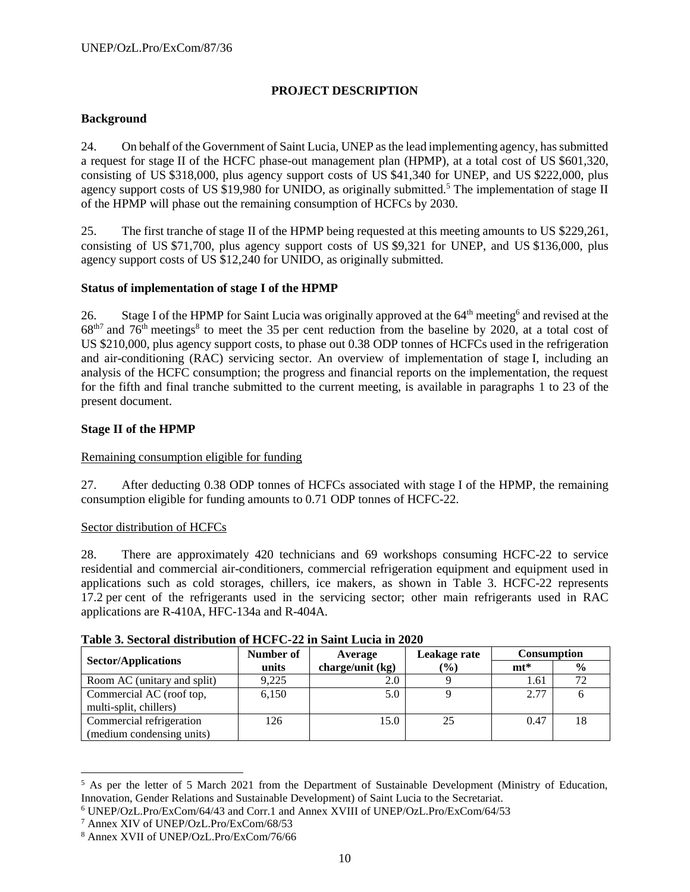# **PROJECT DESCRIPTION**

#### **Background**

24. On behalf of the Government of Saint Lucia, UNEP as the lead implementing agency, has submitted a request for stage II of the HCFC phase-out management plan (HPMP), at a total cost of US \$601,320, consisting of US \$318,000, plus agency support costs of US \$41,340 for UNEP, and US \$222,000, plus agency support costs of US \$19,980 for UNIDO, as originally submitted.<sup>5</sup> The implementation of stage II of the HPMP will phase out the remaining consumption of HCFCs by 2030.

25. The first tranche of stage II of the HPMP being requested at this meeting amounts to US \$229,261, consisting of US \$71,700, plus agency support costs of US \$9,321 for UNEP, and US \$136,000, plus agency support costs of US \$12,240 for UNIDO, as originally submitted.

# **Status of implementation of stage I of the HPMP**

26. Stage I of the HPMP for Saint Lucia was originally approved at the  $64<sup>th</sup>$  meeting<sup>6</sup> and revised at the  $68<sup>th7</sup>$  and  $76<sup>th</sup>$  meetings<sup>8</sup> to meet the 35 per cent reduction from the baseline by 2020, at a total cost of US \$210,000, plus agency support costs, to phase out 0.38 ODP tonnes of HCFCs used in the refrigeration and air-conditioning (RAC) servicing sector. An overview of implementation of stage I, including an analysis of the HCFC consumption; the progress and financial reports on the implementation, the request for the fifth and final tranche submitted to the current meeting, is available in paragraphs 1 to 23 of the present document.

#### **Stage II of the HPMP**

#### Remaining consumption eligible for funding

27. After deducting 0.38 ODP tonnes of HCFCs associated with stage I of the HPMP, the remaining consumption eligible for funding amounts to 0.71 ODP tonnes of HCFC-22.

#### Sector distribution of HCFCs

28. There are approximately 420 technicians and 69 workshops consuming HCFC-22 to service residential and commercial air-conditioners, commercial refrigeration equipment and equipment used in applications such as cold storages, chillers, ice makers, as shown in Table 3. HCFC-22 represents 17.2 per cent of the refrigerants used in the servicing sector; other main refrigerants used in RAC applications are R-410A, HFC-134a and R-404A.

| <b>Sector/Applications</b>                            | Number of | Average          | Leakage rate | <b>Consumption</b> |               |  |
|-------------------------------------------------------|-----------|------------------|--------------|--------------------|---------------|--|
|                                                       | units     | charge/unit (kg) | $(\%)$       | $m t^*$            | $\frac{6}{6}$ |  |
| Room AC (unitary and split)                           | 9,225     | 2.0              |              | 1.61               | 72            |  |
| Commercial AC (roof top,<br>multi-split, chillers)    | 6.150     | 5.0              |              | 2.77               |               |  |
| Commercial refrigeration<br>(medium condensing units) | 126       | 15.0             | 25           | 0.47               | 18            |  |

#### **Table 3. Sectoral distribution of HCFC-22 in Saint Lucia in 2020**

 $\overline{\phantom{a}}$ 

<sup>&</sup>lt;sup>5</sup> As per the letter of 5 March 2021 from the Department of Sustainable Development (Ministry of Education, Innovation, Gender Relations and Sustainable Development) of Saint Lucia to the Secretariat.

<sup>6</sup> UNEP/OzL.Pro/ExCom/64/43 and Corr.1 and Annex XVIII of UNEP/OzL.Pro/ExCom/64/53

<sup>7</sup> Annex XIV of UNEP/OzL.Pro/ExCom/68/53

<sup>8</sup> Annex XVII of UNEP/OzL.Pro/ExCom/76/66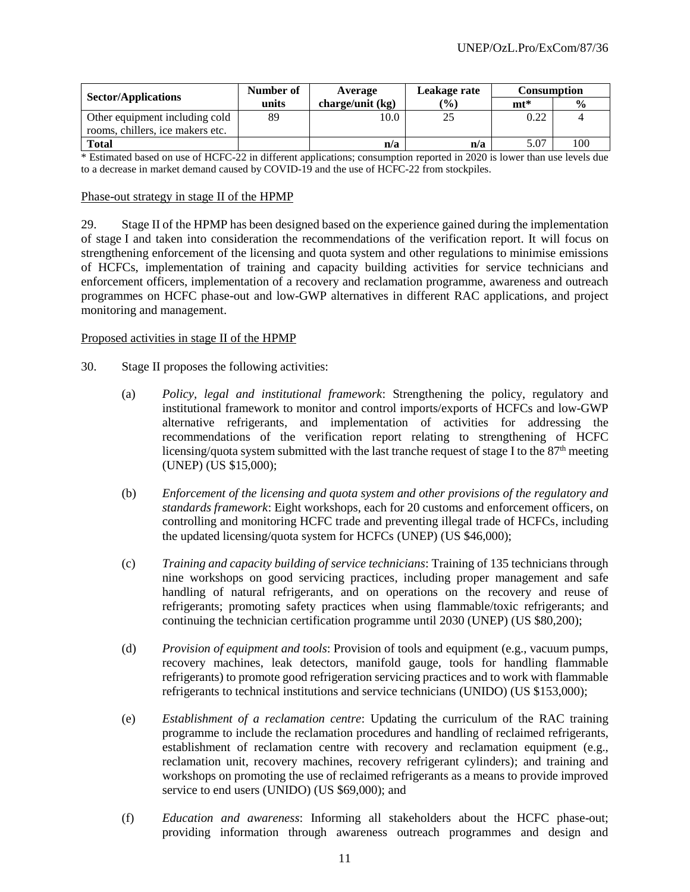|                                  | Number of | Average          | Leakage rate | <b>Consumption</b> |               |  |
|----------------------------------|-----------|------------------|--------------|--------------------|---------------|--|
| <b>Sector/Applications</b>       | units     | charge/unit (kg) | $(\%)$       | $m t^*$            | $\frac{0}{0}$ |  |
| Other equipment including cold   | 89        | 10.0             | 25           | 0.22               |               |  |
| rooms, chillers, ice makers etc. |           |                  |              |                    |               |  |
| <b>Total</b>                     |           | n/a              | n/a          | 5.07               | 100           |  |

\* Estimated based on use of HCFC-22 in different applications; consumption reported in 2020 is lower than use levels due to a decrease in market demand caused by COVID-19 and the use of HCFC-22 from stockpiles.

#### Phase-out strategy in stage II of the HPMP

29. Stage II of the HPMP has been designed based on the experience gained during the implementation of stage I and taken into consideration the recommendations of the verification report. It will focus on strengthening enforcement of the licensing and quota system and other regulations to minimise emissions of HCFCs, implementation of training and capacity building activities for service technicians and enforcement officers, implementation of a recovery and reclamation programme, awareness and outreach programmes on HCFC phase-out and low-GWP alternatives in different RAC applications, and project monitoring and management.

#### Proposed activities in stage II of the HPMP

- 30. Stage II proposes the following activities:
	- (a) *Policy, legal and institutional framework*: Strengthening the policy, regulatory and institutional framework to monitor and control imports/exports of HCFCs and low-GWP alternative refrigerants, and implementation of activities for addressing the recommendations of the verification report relating to strengthening of HCFC licensing/quota system submitted with the last tranche request of stage I to the  $87<sup>th</sup>$  meeting (UNEP) (US \$15,000);
	- (b) *Enforcement of the licensing and quota system and other provisions of the regulatory and standards framework*: Eight workshops, each for 20 customs and enforcement officers, on controlling and monitoring HCFC trade and preventing illegal trade of HCFCs, including the updated licensing/quota system for HCFCs (UNEP) (US \$46,000);
	- (c) *Training and capacity building of service technicians*: Training of 135 technicians through nine workshops on good servicing practices, including proper management and safe handling of natural refrigerants, and on operations on the recovery and reuse of refrigerants; promoting safety practices when using flammable/toxic refrigerants; and continuing the technician certification programme until 2030 (UNEP) (US \$80,200);
	- (d) *Provision of equipment and tools*: Provision of tools and equipment (e.g., vacuum pumps, recovery machines, leak detectors, manifold gauge, tools for handling flammable refrigerants) to promote good refrigeration servicing practices and to work with flammable refrigerants to technical institutions and service technicians (UNIDO) (US \$153,000);
	- (e) *Establishment of a reclamation centre*: Updating the curriculum of the RAC training programme to include the reclamation procedures and handling of reclaimed refrigerants, establishment of reclamation centre with recovery and reclamation equipment (e.g., reclamation unit, recovery machines, recovery refrigerant cylinders); and training and workshops on promoting the use of reclaimed refrigerants as a means to provide improved service to end users (UNIDO) (US \$69,000); and
	- (f) *Education and awareness*: Informing all stakeholders about the HCFC phase-out; providing information through awareness outreach programmes and design and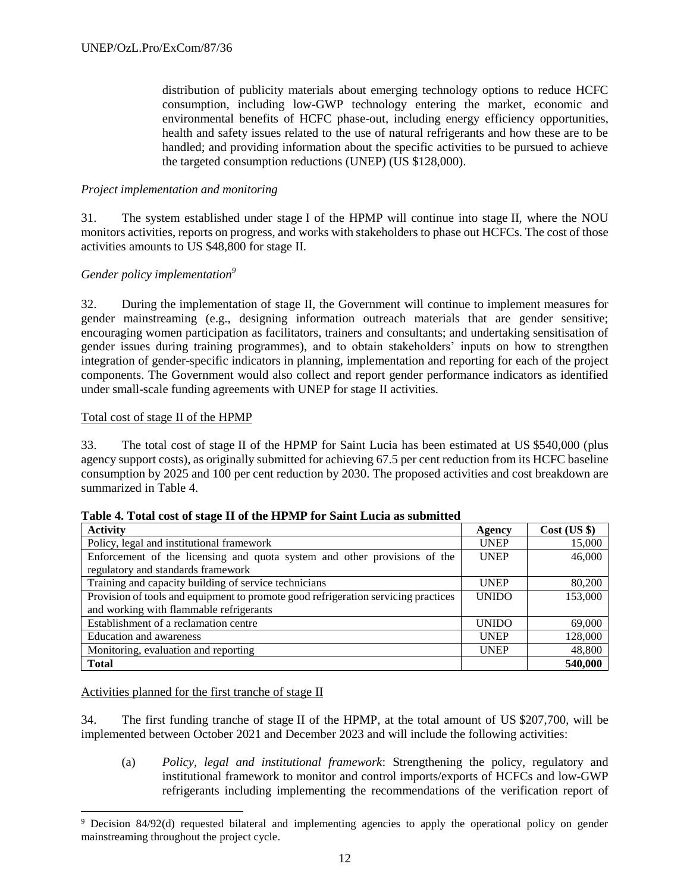distribution of publicity materials about emerging technology options to reduce HCFC consumption, including low-GWP technology entering the market, economic and environmental benefits of HCFC phase-out, including energy efficiency opportunities, health and safety issues related to the use of natural refrigerants and how these are to be handled; and providing information about the specific activities to be pursued to achieve the targeted consumption reductions (UNEP) (US \$128,000).

# *Project implementation and monitoring*

31. The system established under stage I of the HPMP will continue into stage II, where the NOU monitors activities, reports on progress, and works with stakeholders to phase out HCFCs. The cost of those activities amounts to US \$48,800 for stage II.

# *Gender policy implementation<sup>9</sup>*

32. During the implementation of stage II, the Government will continue to implement measures for gender mainstreaming (e.g., designing information outreach materials that are gender sensitive; encouraging women participation as facilitators, trainers and consultants; and undertaking sensitisation of gender issues during training programmes), and to obtain stakeholders' inputs on how to strengthen integration of gender-specific indicators in planning, implementation and reporting for each of the project components. The Government would also collect and report gender performance indicators as identified under small-scale funding agreements with UNEP for stage II activities.

# Total cost of stage II of the HPMP

33. The total cost of stage II of the HPMP for Saint Lucia has been estimated at US \$540,000 (plus agency support costs), as originally submitted for achieving 67.5 per cent reduction from its HCFC baseline consumption by 2025 and 100 per cent reduction by 2030. The proposed activities and cost breakdown are summarized in Table 4.

| <b>Activity</b>                                                                    | Agency       | $Cost$ (US $\})$ |
|------------------------------------------------------------------------------------|--------------|------------------|
| Policy, legal and institutional framework                                          | <b>UNEP</b>  | 15,000           |
| Enforcement of the licensing and quota system and other provisions of the          | <b>UNEP</b>  | 46,000           |
| regulatory and standards framework                                                 |              |                  |
| Training and capacity building of service technicians                              | <b>UNEP</b>  | 80,200           |
| Provision of tools and equipment to promote good refrigeration servicing practices | <b>UNIDO</b> | 153,000          |
| and working with flammable refrigerants                                            |              |                  |
| Establishment of a reclamation centre                                              | <b>UNIDO</b> | 69,000           |
| Education and awareness                                                            | <b>UNEP</b>  | 128,000          |
| Monitoring, evaluation and reporting                                               | <b>UNEP</b>  | 48,800           |
| <b>Total</b>                                                                       |              | 540,000          |

**Table 4. Total cost of stage II of the HPMP for Saint Lucia as submitted** 

Activities planned for the first tranche of stage II

 $\overline{\phantom{a}}$ 

34. The first funding tranche of stage II of the HPMP, at the total amount of US \$207,700, will be implemented between October 2021 and December 2023 and will include the following activities:

(a) *Policy, legal and institutional framework*: Strengthening the policy, regulatory and institutional framework to monitor and control imports/exports of HCFCs and low-GWP refrigerants including implementing the recommendations of the verification report of

<sup>&</sup>lt;sup>9</sup> Decision 84/92(d) requested bilateral and implementing agencies to apply the operational policy on gender mainstreaming throughout the project cycle.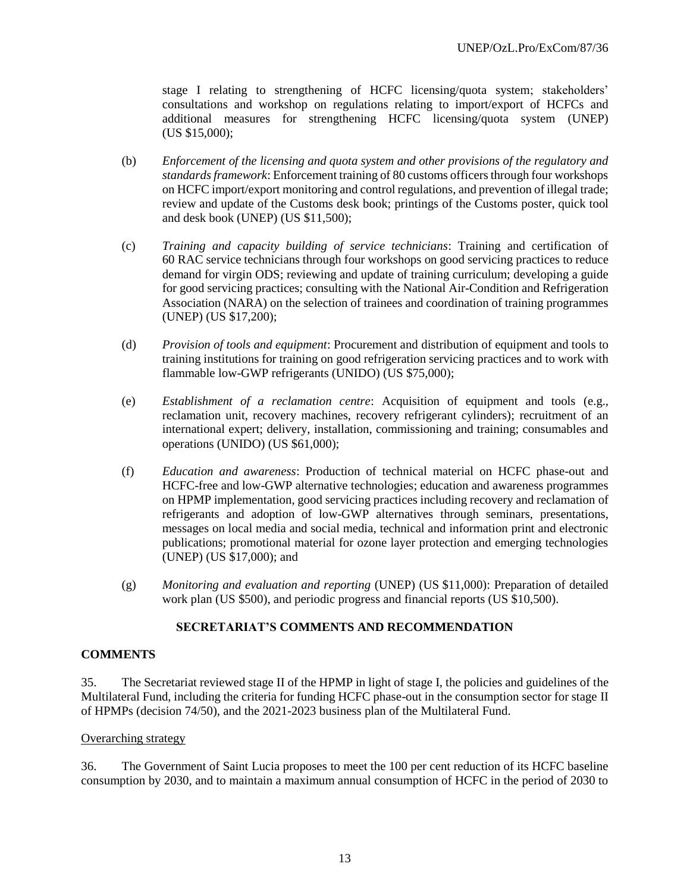stage I relating to strengthening of HCFC licensing/quota system; stakeholders' consultations and workshop on regulations relating to import/export of HCFCs and additional measures for strengthening HCFC licensing/quota system (UNEP) (US \$15,000);

- (b) *Enforcement of the licensing and quota system and other provisions of the regulatory and standards framework*: Enforcement training of 80 customs officers through four workshops on HCFC import/export monitoring and control regulations, and prevention of illegal trade; review and update of the Customs desk book; printings of the Customs poster, quick tool and desk book (UNEP) (US \$11,500);
- (c) *Training and capacity building of service technicians*: Training and certification of 60 RAC service technicians through four workshops on good servicing practices to reduce demand for virgin ODS; reviewing and update of training curriculum; developing a guide for good servicing practices; consulting with the National Air-Condition and Refrigeration Association (NARA) on the selection of trainees and coordination of training programmes (UNEP) (US \$17,200);
- (d) *Provision of tools and equipment*: Procurement and distribution of equipment and tools to training institutions for training on good refrigeration servicing practices and to work with flammable low-GWP refrigerants (UNIDO) (US \$75,000);
- (e) *Establishment of a reclamation centre*: Acquisition of equipment and tools (e.g., reclamation unit, recovery machines, recovery refrigerant cylinders); recruitment of an international expert; delivery, installation, commissioning and training; consumables and operations (UNIDO) (US \$61,000);
- (f) *Education and awareness*: Production of technical material on HCFC phase-out and HCFC-free and low-GWP alternative technologies; education and awareness programmes on HPMP implementation, good servicing practices including recovery and reclamation of refrigerants and adoption of low-GWP alternatives through seminars, presentations, messages on local media and social media, technical and information print and electronic publications; promotional material for ozone layer protection and emerging technologies (UNEP) (US \$17,000); and
- (g) *Monitoring and evaluation and reporting* (UNEP) (US \$11,000): Preparation of detailed work plan (US \$500), and periodic progress and financial reports (US \$10,500).

# **SECRETARIAT'S COMMENTS AND RECOMMENDATION**

# **COMMENTS**

35. The Secretariat reviewed stage II of the HPMP in light of stage I, the policies and guidelines of the Multilateral Fund, including the criteria for funding HCFC phase-out in the consumption sector for stage II of HPMPs (decision 74/50), and the 2021-2023 business plan of the Multilateral Fund.

# Overarching strategy

36. The Government of Saint Lucia proposes to meet the 100 per cent reduction of its HCFC baseline consumption by 2030, and to maintain a maximum annual consumption of HCFC in the period of 2030 to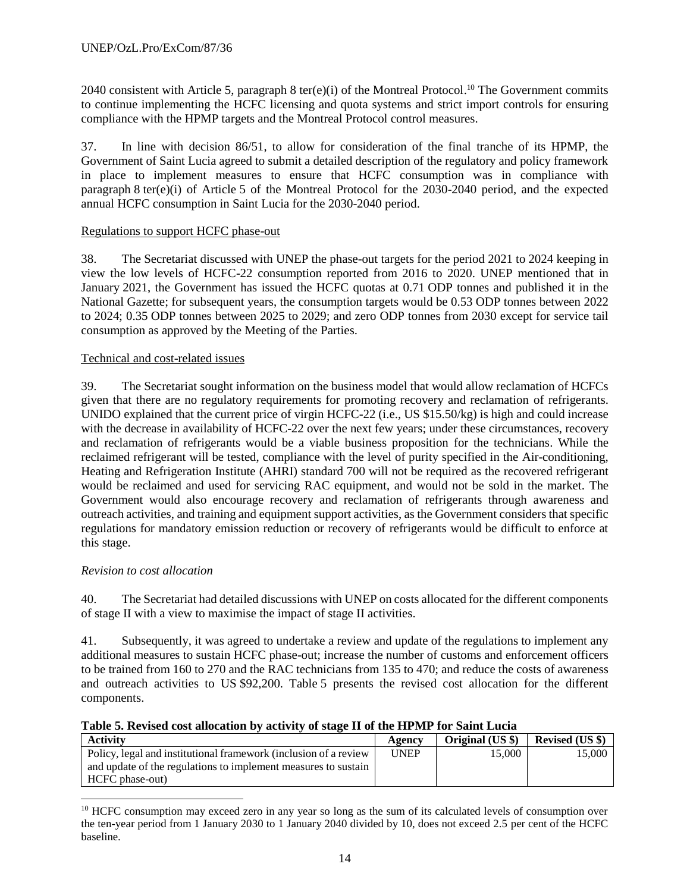2040 consistent with Article 5, paragraph 8 ter(e)(i) of the Montreal Protocol.<sup>10</sup> The Government commits to continue implementing the HCFC licensing and quota systems and strict import controls for ensuring compliance with the HPMP targets and the Montreal Protocol control measures.

37. In line with decision 86/51, to allow for consideration of the final tranche of its HPMP, the Government of Saint Lucia agreed to submit a detailed description of the regulatory and policy framework in place to implement measures to ensure that HCFC consumption was in compliance with paragraph 8 ter(e)(i) of Article 5 of the Montreal Protocol for the 2030-2040 period, and the expected annual HCFC consumption in Saint Lucia for the 2030-2040 period.

# Regulations to support HCFC phase-out

38. The Secretariat discussed with UNEP the phase-out targets for the period 2021 to 2024 keeping in view the low levels of HCFC-22 consumption reported from 2016 to 2020. UNEP mentioned that in January 2021, the Government has issued the HCFC quotas at 0.71 ODP tonnes and published it in the National Gazette; for subsequent years, the consumption targets would be 0.53 ODP tonnes between 2022 to 2024; 0.35 ODP tonnes between 2025 to 2029; and zero ODP tonnes from 2030 except for service tail consumption as approved by the Meeting of the Parties.

# Technical and cost-related issues

39. The Secretariat sought information on the business model that would allow reclamation of HCFCs given that there are no regulatory requirements for promoting recovery and reclamation of refrigerants. UNIDO explained that the current price of virgin HCFC-22 (i.e., US \$15.50/kg) is high and could increase with the decrease in availability of HCFC-22 over the next few years; under these circumstances, recovery and reclamation of refrigerants would be a viable business proposition for the technicians. While the reclaimed refrigerant will be tested, compliance with the level of purity specified in the Air-conditioning, Heating and Refrigeration Institute (AHRI) standard 700 will not be required as the recovered refrigerant would be reclaimed and used for servicing RAC equipment, and would not be sold in the market. The Government would also encourage recovery and reclamation of refrigerants through awareness and outreach activities, and training and equipment support activities, as the Government considers that specific regulations for mandatory emission reduction or recovery of refrigerants would be difficult to enforce at this stage.

# *Revision to cost allocation*

l

40. The Secretariat had detailed discussions with UNEP on costs allocated for the different components of stage II with a view to maximise the impact of stage II activities.

41. Subsequently, it was agreed to undertake a review and update of the regulations to implement any additional measures to sustain HCFC phase-out; increase the number of customs and enforcement officers to be trained from 160 to 270 and the RAC technicians from 135 to 470; and reduce the costs of awareness and outreach activities to US \$92,200. Table 5 presents the revised cost allocation for the different components.

| <b>Activity</b>                                                  | Agency      | Original (US \$) | <b>Revised (US \$)</b> |
|------------------------------------------------------------------|-------------|------------------|------------------------|
| Policy, legal and institutional framework (inclusion of a review | <b>UNEP</b> | 15,000           | 15.000                 |
| and update of the regulations to implement measures to sustain   |             |                  |                        |
| HCFC phase-out)                                                  |             |                  |                        |

<sup>&</sup>lt;sup>10</sup> HCFC consumption may exceed zero in any year so long as the sum of its calculated levels of consumption over the ten-year period from 1 January 2030 to 1 January 2040 divided by 10, does not exceed 2.5 per cent of the HCFC baseline.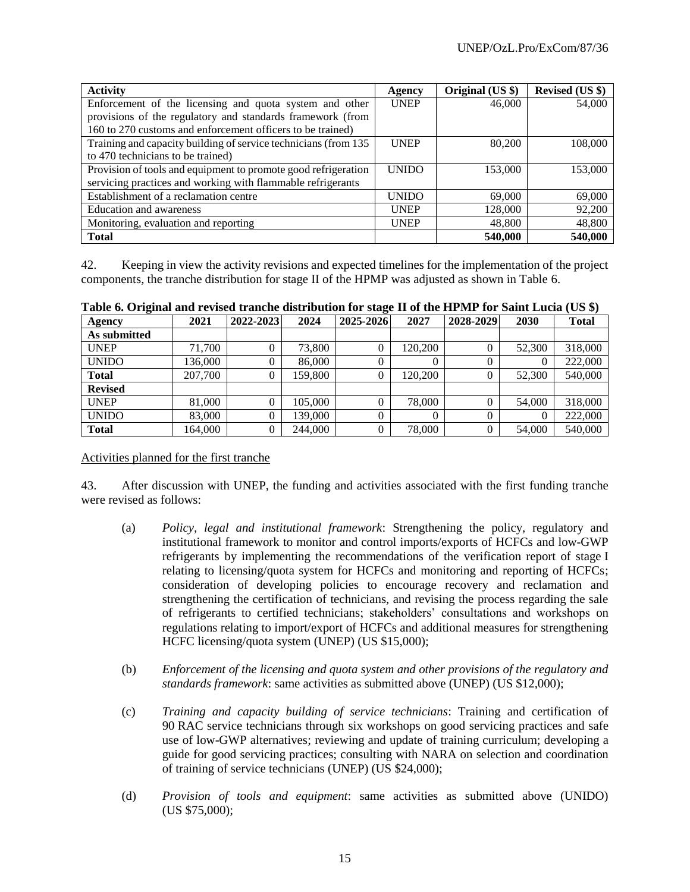| <b>Activity</b>                                                 | Agency       | Original (US \$) | <b>Revised (US \$)</b> |
|-----------------------------------------------------------------|--------------|------------------|------------------------|
| Enforcement of the licensing and quota system and other         | <b>UNEP</b>  | 46,000           | 54,000                 |
| provisions of the regulatory and standards framework (from      |              |                  |                        |
| 160 to 270 customs and enforcement officers to be trained)      |              |                  |                        |
| Training and capacity building of service technicians (from 135 | <b>UNEP</b>  | 80,200           | 108,000                |
| to 470 technicians to be trained)                               |              |                  |                        |
| Provision of tools and equipment to promote good refrigeration  | <b>UNIDO</b> | 153,000          | 153,000                |
| servicing practices and working with flammable refrigerants     |              |                  |                        |
| Establishment of a reclamation centre                           | <b>UNIDO</b> | 69,000           | 69,000                 |
| Education and awareness                                         | <b>UNEP</b>  | 128,000          | 92,200                 |
| Monitoring, evaluation and reporting                            | <b>UNEP</b>  | 48,800           | 48,800                 |
| <b>Total</b>                                                    |              | 540,000          | 540,000                |

42. Keeping in view the activity revisions and expected timelines for the implementation of the project components, the tranche distribution for stage II of the HPMP was adjusted as shown in Table 6.

| Agency         | 2021    | 2022-2023 | 2024    | 2025-2026 | 2027    | 2028-2029 | 2030   | <b>Total</b> |
|----------------|---------|-----------|---------|-----------|---------|-----------|--------|--------------|
| As submitted   |         |           |         |           |         |           |        |              |
| <b>UNEP</b>    | 71,700  |           | 73,800  | 0         | 120,200 | U         | 52,300 | 318,000      |
| <b>UNIDO</b>   | 136,000 |           | 86,000  |           |         |           |        | 222,000      |
| <b>Total</b>   | 207,700 |           | 159,800 | 0         | 120,200 | 0         | 52,300 | 540,000      |
| <b>Revised</b> |         |           |         |           |         |           |        |              |
| <b>UNEP</b>    | 81,000  |           | 105,000 | 0         | 78,000  | 0         | 54,000 | 318,000      |
| <b>UNIDO</b>   | 83,000  |           | 139,000 | 0         | 0       | 0         |        | 222,000      |
| <b>Total</b>   | 164,000 |           | 244,000 |           | 78,000  | 0         | 54,000 | 540,000      |

**Table 6. Original and revised tranche distribution for stage II of the HPMP for Saint Lucia (US \$)**

# Activities planned for the first tranche

43. After discussion with UNEP, the funding and activities associated with the first funding tranche were revised as follows:

- (a) *Policy, legal and institutional framework*: Strengthening the policy, regulatory and institutional framework to monitor and control imports/exports of HCFCs and low-GWP refrigerants by implementing the recommendations of the verification report of stage I relating to licensing/quota system for HCFCs and monitoring and reporting of HCFCs; consideration of developing policies to encourage recovery and reclamation and strengthening the certification of technicians, and revising the process regarding the sale of refrigerants to certified technicians; stakeholders' consultations and workshops on regulations relating to import/export of HCFCs and additional measures for strengthening HCFC licensing/quota system (UNEP) (US \$15,000);
- (b) *Enforcement of the licensing and quota system and other provisions of the regulatory and standards framework*: same activities as submitted above (UNEP) (US \$12,000);
- (c) *Training and capacity building of service technicians*: Training and certification of 90 RAC service technicians through six workshops on good servicing practices and safe use of low-GWP alternatives; reviewing and update of training curriculum; developing a guide for good servicing practices; consulting with NARA on selection and coordination of training of service technicians (UNEP) (US \$24,000);
- (d) *Provision of tools and equipment*: same activities as submitted above (UNIDO) (US \$75,000);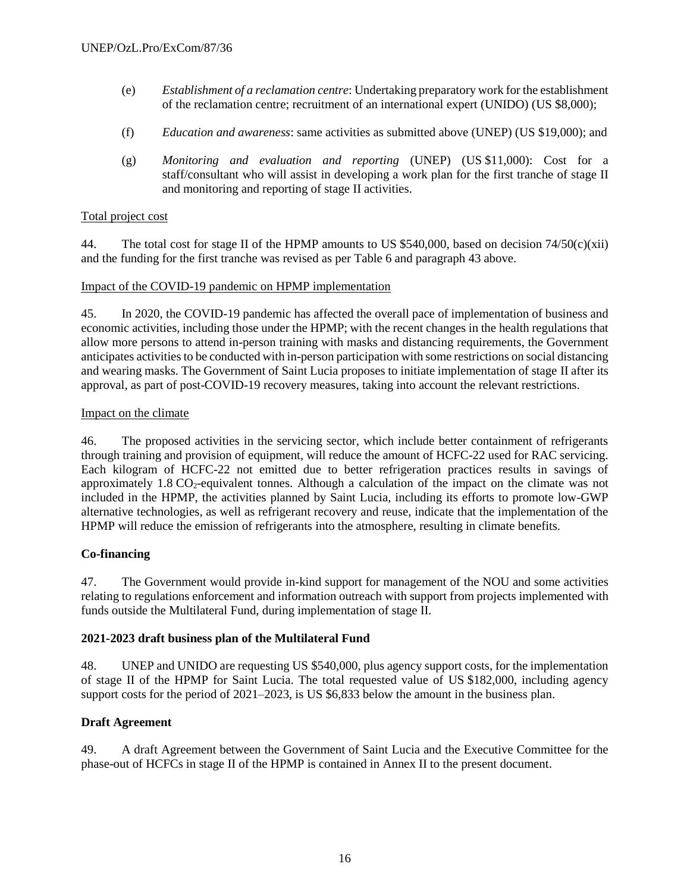- (e) *Establishment of a reclamation centre*: Undertaking preparatory work for the establishment of the reclamation centre; recruitment of an international expert (UNIDO) (US \$8,000);
- (f) *Education and awareness*: same activities as submitted above (UNEP) (US \$19,000); and
- (g) *Monitoring and evaluation and reporting* (UNEP) (US \$11,000): Cost for a staff/consultant who will assist in developing a work plan for the first tranche of stage II and monitoring and reporting of stage II activities.

#### Total project cost

44. The total cost for stage II of the HPMP amounts to US \$540,000, based on decision 74/50(c)(xii) and the funding for the first tranche was revised as per Table 6 and paragraph 43 above.

#### Impact of the COVID-19 pandemic on HPMP implementation

45. In 2020, the COVID-19 pandemic has affected the overall pace of implementation of business and economic activities, including those under the HPMP; with the recent changes in the health regulations that allow more persons to attend in-person training with masks and distancing requirements, the Government anticipates activities to be conducted with in-person participation with some restrictions on social distancing and wearing masks. The Government of Saint Lucia proposes to initiate implementation of stage II after its approval, as part of post-COVID-19 recovery measures, taking into account the relevant restrictions.

#### Impact on the climate

46. The proposed activities in the servicing sector, which include better containment of refrigerants through training and provision of equipment, will reduce the amount of HCFC-22 used for RAC servicing. Each kilogram of HCFC-22 not emitted due to better refrigeration practices results in savings of approximately  $1.8 \text{ CO}_2$ -equivalent tonnes. Although a calculation of the impact on the climate was not included in the HPMP, the activities planned by Saint Lucia, including its efforts to promote low-GWP alternative technologies, as well as refrigerant recovery and reuse, indicate that the implementation of the HPMP will reduce the emission of refrigerants into the atmosphere, resulting in climate benefits.

# **Co-financing**

47. The Government would provide in-kind support for management of the NOU and some activities relating to regulations enforcement and information outreach with support from projects implemented with funds outside the Multilateral Fund, during implementation of stage II.

# **2021-2023 draft business plan of the Multilateral Fund**

48. UNEP and UNIDO are requesting US \$540,000, plus agency support costs, for the implementation of stage II of the HPMP for Saint Lucia. The total requested value of US \$182,000, including agency support costs for the period of 2021–2023, is US \$6,833 below the amount in the business plan.

# **Draft Agreement**

49. A draft Agreement between the Government of Saint Lucia and the Executive Committee for the phase-out of HCFCs in stage II of the HPMP is contained in Annex II to the present document.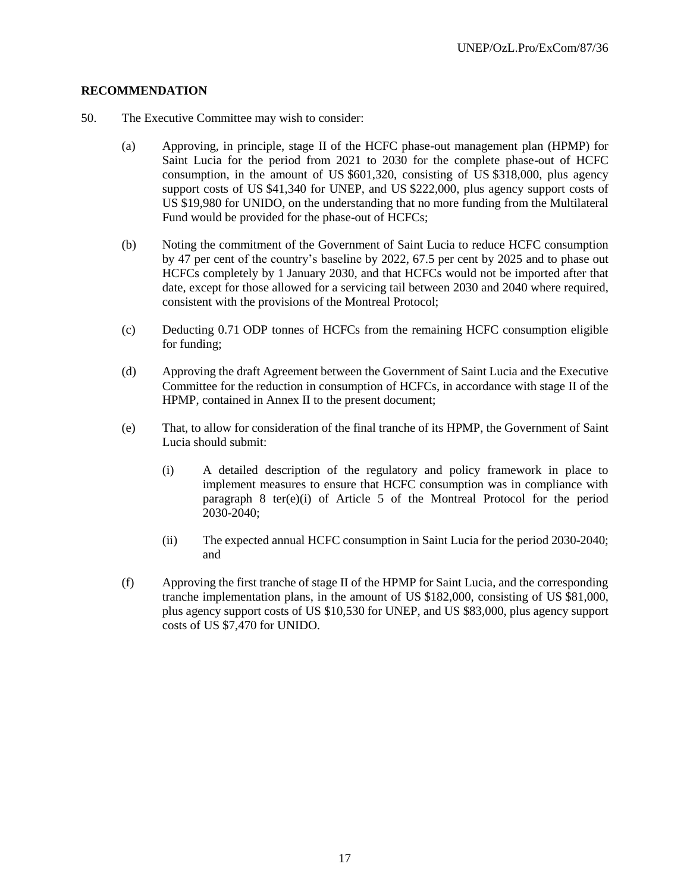# **RECOMMENDATION**

- 50. The Executive Committee may wish to consider:
	- (a) Approving, in principle, stage II of the HCFC phase-out management plan (HPMP) for Saint Lucia for the period from 2021 to 2030 for the complete phase-out of HCFC consumption, in the amount of US \$601,320, consisting of US \$318,000, plus agency support costs of US \$41,340 for UNEP, and US \$222,000, plus agency support costs of US \$19,980 for UNIDO, on the understanding that no more funding from the Multilateral Fund would be provided for the phase-out of HCFCs;
	- (b) Noting the commitment of the Government of Saint Lucia to reduce HCFC consumption by 47 per cent of the country's baseline by 2022, 67.5 per cent by 2025 and to phase out HCFCs completely by 1 January 2030, and that HCFCs would not be imported after that date, except for those allowed for a servicing tail between 2030 and 2040 where required, consistent with the provisions of the Montreal Protocol;
	- (c) Deducting 0.71 ODP tonnes of HCFCs from the remaining HCFC consumption eligible for funding;
	- (d) Approving the draft Agreement between the Government of Saint Lucia and the Executive Committee for the reduction in consumption of HCFCs, in accordance with stage II of the HPMP, contained in Annex II to the present document;
	- (e) That, to allow for consideration of the final tranche of its HPMP, the Government of Saint Lucia should submit:
		- (i) A detailed description of the regulatory and policy framework in place to implement measures to ensure that HCFC consumption was in compliance with paragraph 8 ter(e)(i) of Article 5 of the Montreal Protocol for the period 2030-2040;
		- (ii) The expected annual HCFC consumption in Saint Lucia for the period 2030-2040; and
	- (f) Approving the first tranche of stage II of the HPMP for Saint Lucia, and the corresponding tranche implementation plans, in the amount of US \$182,000, consisting of US \$81,000, plus agency support costs of US \$10,530 for UNEP, and US \$83,000, plus agency support costs of US \$7,470 for UNIDO.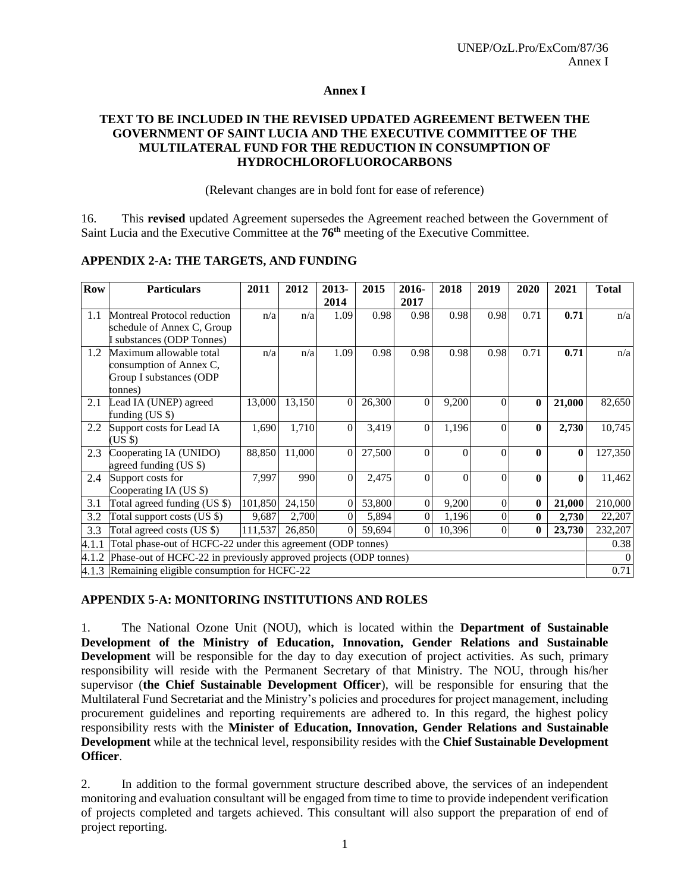#### **Annex I**

# **TEXT TO BE INCLUDED IN THE REVISED UPDATED AGREEMENT BETWEEN THE GOVERNMENT OF SAINT LUCIA AND THE EXECUTIVE COMMITTEE OF THE MULTILATERAL FUND FOR THE REDUCTION IN CONSUMPTION OF HYDROCHLOROFLUOROCARBONS**

(Relevant changes are in bold font for ease of reference)

16. This **revised** updated Agreement supersedes the Agreement reached between the Government of Saint Lucia and the Executive Committee at the **76th** meeting of the Executive Committee.

| <b>Row</b> | <b>Particulars</b>                                                | 2011    | 2012   | 2013-          | 2015   | 2016-          | 2018           | 2019           | 2020         | 2021         | <b>Total</b> |
|------------|-------------------------------------------------------------------|---------|--------|----------------|--------|----------------|----------------|----------------|--------------|--------------|--------------|
|            |                                                                   |         |        | 2014           |        | 2017           |                |                |              |              |              |
| 1.1        | Montreal Protocol reduction                                       | n/a     | n/a    | 1.09           | 0.98   | 0.98           | 0.98           | 0.98           | 0.71         | 0.71         | n/a          |
|            | schedule of Annex C, Group                                        |         |        |                |        |                |                |                |              |              |              |
|            | I substances (ODP Tonnes)                                         |         |        |                |        |                |                |                |              |              |              |
| 1.2        | Maximum allowable total                                           | n/a     | n/a    | 1.09           | 0.98   | 0.98           | 0.98           | 0.98           | 0.71         | 0.71         | n/a          |
|            | consumption of Annex C,                                           |         |        |                |        |                |                |                |              |              |              |
|            | Group I substances (ODP                                           |         |        |                |        |                |                |                |              |              |              |
|            | tonnes)                                                           |         |        |                |        |                |                |                |              |              |              |
| 2.1        | Lead IA (UNEP) agreed                                             | 13,000  | 13,150 | $\theta$       | 26,300 | $\Omega$       | 9,200          | $\Omega$       | $\mathbf{0}$ | 21,000       | 82,650       |
|            | funding (US \$)                                                   |         |        |                |        |                |                |                |              |              |              |
| 2.2        | Support costs for Lead IA                                         | 1,690   | 1,710  | $\Omega$       | 3,419  | $\Omega$       | 1,196          | $\Omega$       | 0            | 2,730        | 10,745       |
|            | $(US \$                                                           |         |        |                |        |                |                |                |              |              |              |
| 2.3        | Cooperating IA (UNIDO)                                            | 88,850  | 11,000 | $\overline{0}$ | 27,500 | $\theta$       | $\theta$       | $\theta$       | $\mathbf{0}$ | $\bf{0}$     | 127,350      |
|            | agreed funding (US \$)                                            |         |        |                |        |                |                |                |              |              |              |
| 2.4        | Support costs for                                                 | 7,997   | 990    | $\theta$       | 2,475  | $\Omega$       | $\overline{0}$ | $\theta$       | $\mathbf{0}$ | $\mathbf{0}$ | 11,462       |
|            | Cooperating IA (US \$)                                            |         |        |                |        |                |                |                |              |              |              |
| 3.1        | Total agreed funding (US \$)                                      | 101,850 | 24,150 | $\theta$       | 53,800 | $\theta$       | 9,200          | $\overline{0}$ | $\mathbf{0}$ | 21,000       | 210,000      |
| 3.2        | Total support costs (US \$)                                       | 9,687   | 2,700  | $\theta$       | 5,894  | $\overline{0}$ | 1,196          | $\theta$       | $\bf{0}$     | 2,730        | 22,207       |
| 3.3        | Total agreed costs (US \$)                                        | 111,537 | 26,850 | $\theta$       | 59,694 | $\Omega$       | 10,396         | $\overline{0}$ | 0            | 23,730       | 232,207      |
| 4.1.1      | Total phase-out of HCFC-22 under this agreement (ODP tonnes)      |         |        |                |        |                |                |                |              |              | 0.38         |
| 4.1.2      | Phase-out of HCFC-22 in previously approved projects (ODP tonnes) |         |        |                |        |                |                |                |              |              | $\Omega$     |
|            | $4.1.3$ Remaining eligible consumption for HCFC-22                |         |        |                |        |                |                |                |              |              | 0.71         |

# **APPENDIX 2-A: THE TARGETS, AND FUNDING**

# **APPENDIX 5-A: MONITORING INSTITUTIONS AND ROLES**

1. The National Ozone Unit (NOU), which is located within the **Department of Sustainable Development of the Ministry of Education, Innovation, Gender Relations and Sustainable Development** will be responsible for the day to day execution of project activities. As such, primary responsibility will reside with the Permanent Secretary of that Ministry. The NOU, through his/her supervisor (**the Chief Sustainable Development Officer**), will be responsible for ensuring that the Multilateral Fund Secretariat and the Ministry's policies and procedures for project management, including procurement guidelines and reporting requirements are adhered to. In this regard, the highest policy responsibility rests with the **Minister of Education, Innovation, Gender Relations and Sustainable Development** while at the technical level, responsibility resides with the **Chief Sustainable Development Officer**.

2. In addition to the formal government structure described above, the services of an independent monitoring and evaluation consultant will be engaged from time to time to provide independent verification of projects completed and targets achieved. This consultant will also support the preparation of end of project reporting.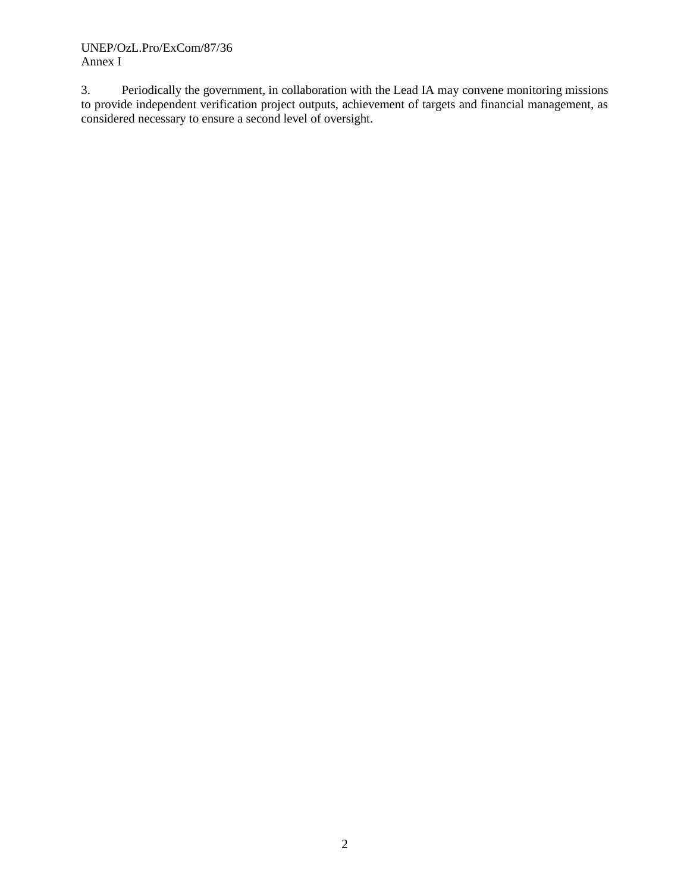3. Periodically the government, in collaboration with the Lead IA may convene monitoring missions to provide independent verification project outputs, achievement of targets and financial management, as considered necessary to ensure a second level of oversight.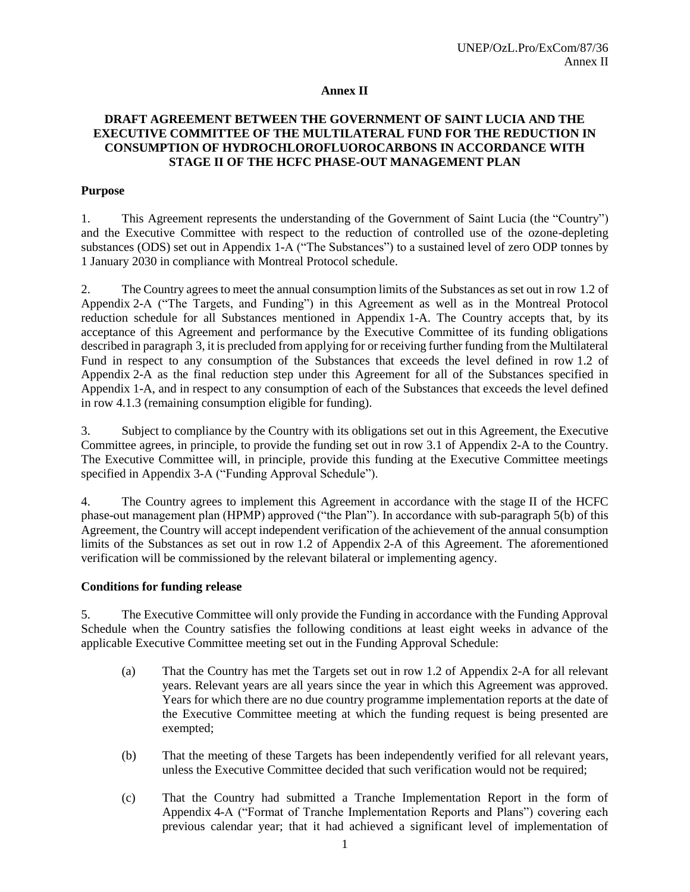# **Annex II**

# **DRAFT AGREEMENT BETWEEN THE GOVERNMENT OF SAINT LUCIA AND THE EXECUTIVE COMMITTEE OF THE MULTILATERAL FUND FOR THE REDUCTION IN CONSUMPTION OF HYDROCHLOROFLUOROCARBONS IN ACCORDANCE WITH STAGE II OF THE HCFC PHASE-OUT MANAGEMENT PLAN**

# **Purpose**

1. This Agreement represents the understanding of the Government of Saint Lucia (the "Country") and the Executive Committee with respect to the reduction of controlled use of the ozone-depleting substances (ODS) set out in Appendix 1-A ("The Substances") to a sustained level of zero ODP tonnes by 1 January 2030 in compliance with Montreal Protocol schedule.

2. The Country agrees to meet the annual consumption limits of the Substances as set out in row 1.2 of Appendix 2-A ("The Targets, and Funding") in this Agreement as well as in the Montreal Protocol reduction schedule for all Substances mentioned in Appendix 1-A. The Country accepts that, by its acceptance of this Agreement and performance by the Executive Committee of its funding obligations described in paragraph 3, it is precluded from applying for or receiving further funding from the Multilateral Fund in respect to any consumption of the Substances that exceeds the level defined in row 1.2 of Appendix 2-A as the final reduction step under this Agreement for all of the Substances specified in Appendix 1-A, and in respect to any consumption of each of the Substances that exceeds the level defined in row 4.1.3 (remaining consumption eligible for funding).

3. Subject to compliance by the Country with its obligations set out in this Agreement, the Executive Committee agrees, in principle, to provide the funding set out in row 3.1 of Appendix 2-A to the Country. The Executive Committee will, in principle, provide this funding at the Executive Committee meetings specified in Appendix 3-A ("Funding Approval Schedule").

4. The Country agrees to implement this Agreement in accordance with the stage II of the HCFC phase-out management plan (HPMP) approved ("the Plan"). In accordance with sub-paragraph 5(b) of this Agreement, the Country will accept independent verification of the achievement of the annual consumption limits of the Substances as set out in row 1.2 of Appendix 2-A of this Agreement. The aforementioned verification will be commissioned by the relevant bilateral or implementing agency.

# **Conditions for funding release**

5. The Executive Committee will only provide the Funding in accordance with the Funding Approval Schedule when the Country satisfies the following conditions at least eight weeks in advance of the applicable Executive Committee meeting set out in the Funding Approval Schedule:

- (a) That the Country has met the Targets set out in row 1.2 of Appendix 2-A for all relevant years. Relevant years are all years since the year in which this Agreement was approved. Years for which there are no due country programme implementation reports at the date of the Executive Committee meeting at which the funding request is being presented are exempted;
- (b) That the meeting of these Targets has been independently verified for all relevant years, unless the Executive Committee decided that such verification would not be required;
- (c) That the Country had submitted a Tranche Implementation Report in the form of Appendix 4-A ("Format of Tranche Implementation Reports and Plans") covering each previous calendar year; that it had achieved a significant level of implementation of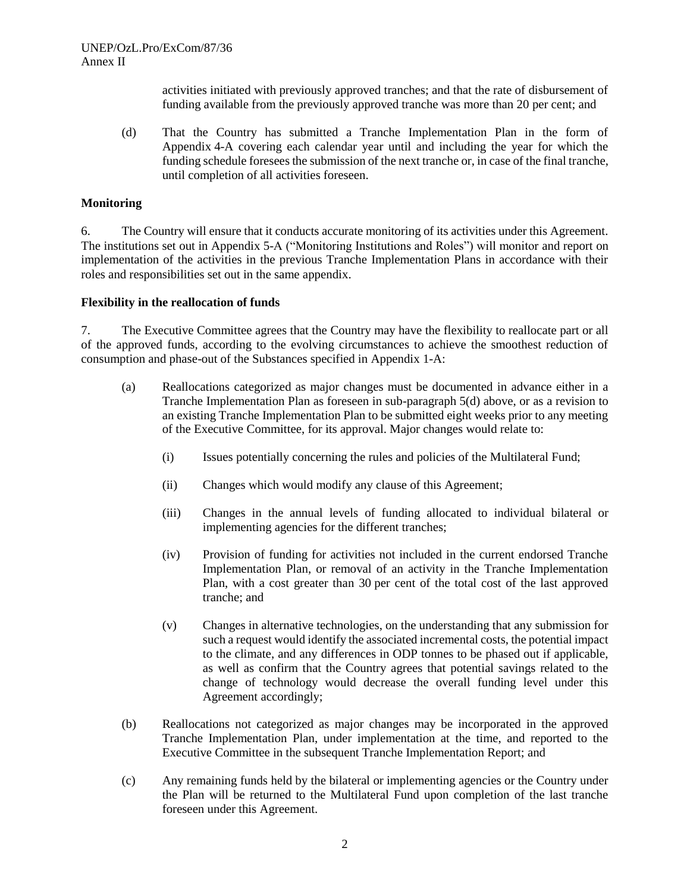activities initiated with previously approved tranches; and that the rate of disbursement of funding available from the previously approved tranche was more than 20 per cent; and

(d) That the Country has submitted a Tranche Implementation Plan in the form of Appendix 4-A covering each calendar year until and including the year for which the funding schedule foresees the submission of the next tranche or, in case of the final tranche, until completion of all activities foreseen.

#### **Monitoring**

6. The Country will ensure that it conducts accurate monitoring of its activities under this Agreement. The institutions set out in Appendix 5-A ("Monitoring Institutions and Roles") will monitor and report on implementation of the activities in the previous Tranche Implementation Plans in accordance with their roles and responsibilities set out in the same appendix.

#### **Flexibility in the reallocation of funds**

7. The Executive Committee agrees that the Country may have the flexibility to reallocate part or all of the approved funds, according to the evolving circumstances to achieve the smoothest reduction of consumption and phase-out of the Substances specified in Appendix 1-A:

- (a) Reallocations categorized as major changes must be documented in advance either in a Tranche Implementation Plan as foreseen in sub-paragraph 5(d) above, or as a revision to an existing Tranche Implementation Plan to be submitted eight weeks prior to any meeting of the Executive Committee, for its approval. Major changes would relate to:
	- (i) Issues potentially concerning the rules and policies of the Multilateral Fund;
	- (ii) Changes which would modify any clause of this Agreement;
	- (iii) Changes in the annual levels of funding allocated to individual bilateral or implementing agencies for the different tranches;
	- (iv) Provision of funding for activities not included in the current endorsed Tranche Implementation Plan, or removal of an activity in the Tranche Implementation Plan, with a cost greater than 30 per cent of the total cost of the last approved tranche; and
	- (v) Changes in alternative technologies, on the understanding that any submission for such a request would identify the associated incremental costs, the potential impact to the climate, and any differences in ODP tonnes to be phased out if applicable, as well as confirm that the Country agrees that potential savings related to the change of technology would decrease the overall funding level under this Agreement accordingly;
- (b) Reallocations not categorized as major changes may be incorporated in the approved Tranche Implementation Plan, under implementation at the time, and reported to the Executive Committee in the subsequent Tranche Implementation Report; and
- (c) Any remaining funds held by the bilateral or implementing agencies or the Country under the Plan will be returned to the Multilateral Fund upon completion of the last tranche foreseen under this Agreement.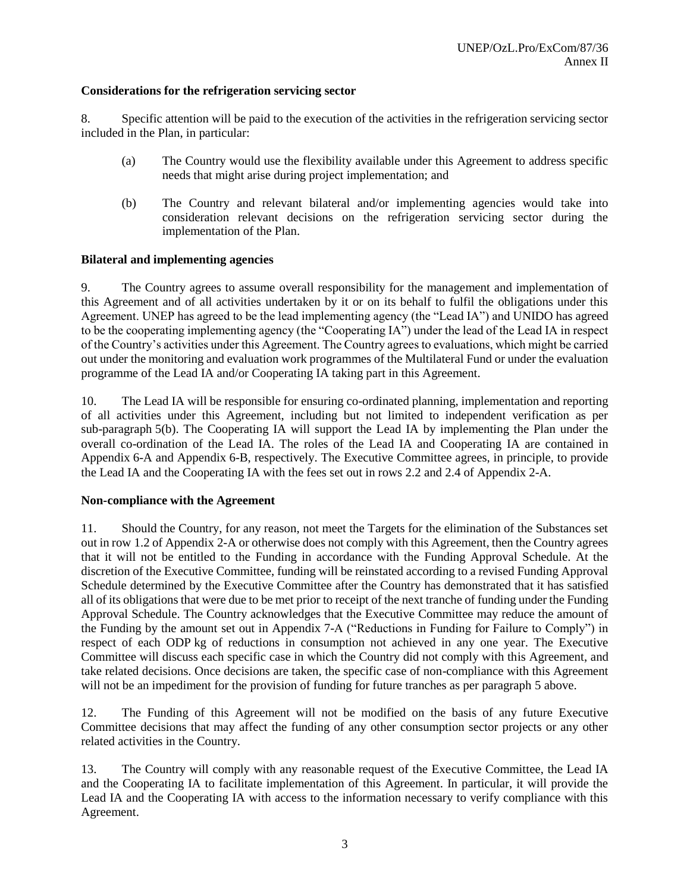# **Considerations for the refrigeration servicing sector**

8. Specific attention will be paid to the execution of the activities in the refrigeration servicing sector included in the Plan, in particular:

- (a) The Country would use the flexibility available under this Agreement to address specific needs that might arise during project implementation; and
- (b) The Country and relevant bilateral and/or implementing agencies would take into consideration relevant decisions on the refrigeration servicing sector during the implementation of the Plan.

# **Bilateral and implementing agencies**

9. The Country agrees to assume overall responsibility for the management and implementation of this Agreement and of all activities undertaken by it or on its behalf to fulfil the obligations under this Agreement. UNEP has agreed to be the lead implementing agency (the "Lead IA") and UNIDO has agreed to be the cooperating implementing agency (the "Cooperating IA") under the lead of the Lead IA in respect of the Country's activities under this Agreement. The Country agrees to evaluations, which might be carried out under the monitoring and evaluation work programmes of the Multilateral Fund or under the evaluation programme of the Lead IA and/or Cooperating IA taking part in this Agreement.

10. The Lead IA will be responsible for ensuring co-ordinated planning, implementation and reporting of all activities under this Agreement, including but not limited to independent verification as per sub-paragraph 5(b). The Cooperating IA will support the Lead IA by implementing the Plan under the overall co-ordination of the Lead IA. The roles of the Lead IA and Cooperating IA are contained in Appendix 6-A and Appendix 6-B, respectively. The Executive Committee agrees, in principle, to provide the Lead IA and the Cooperating IA with the fees set out in rows 2.2 and 2.4 of Appendix 2-A.

# **Non-compliance with the Agreement**

11. Should the Country, for any reason, not meet the Targets for the elimination of the Substances set out in row 1.2 of Appendix 2-A or otherwise does not comply with this Agreement, then the Country agrees that it will not be entitled to the Funding in accordance with the Funding Approval Schedule. At the discretion of the Executive Committee, funding will be reinstated according to a revised Funding Approval Schedule determined by the Executive Committee after the Country has demonstrated that it has satisfied all of its obligations that were due to be met prior to receipt of the next tranche of funding under the Funding Approval Schedule. The Country acknowledges that the Executive Committee may reduce the amount of the Funding by the amount set out in Appendix 7-A ("Reductions in Funding for Failure to Comply") in respect of each ODP kg of reductions in consumption not achieved in any one year. The Executive Committee will discuss each specific case in which the Country did not comply with this Agreement, and take related decisions. Once decisions are taken, the specific case of non-compliance with this Agreement will not be an impediment for the provision of funding for future tranches as per paragraph 5 above.

12. The Funding of this Agreement will not be modified on the basis of any future Executive Committee decisions that may affect the funding of any other consumption sector projects or any other related activities in the Country.

13. The Country will comply with any reasonable request of the Executive Committee, the Lead IA and the Cooperating IA to facilitate implementation of this Agreement. In particular, it will provide the Lead IA and the Cooperating IA with access to the information necessary to verify compliance with this Agreement.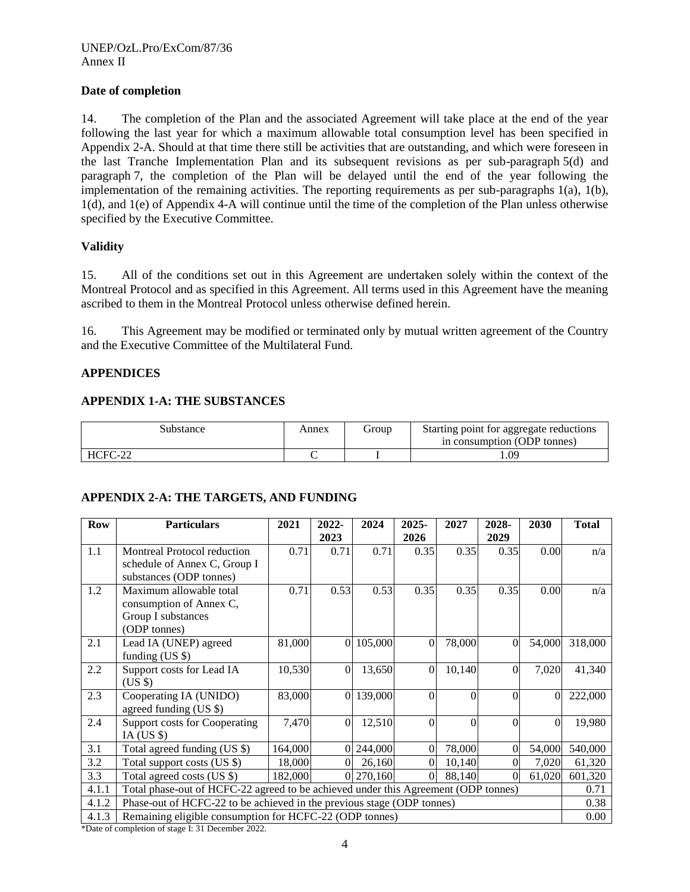# **Date of completion**

14. The completion of the Plan and the associated Agreement will take place at the end of the year following the last year for which a maximum allowable total consumption level has been specified in Appendix 2-A. Should at that time there still be activities that are outstanding, and which were foreseen in the last Tranche Implementation Plan and its subsequent revisions as per sub-paragraph 5(d) and paragraph 7, the completion of the Plan will be delayed until the end of the year following the implementation of the remaining activities. The reporting requirements as per sub-paragraphs 1(a), 1(b), 1(d), and 1(e) of Appendix 4-A will continue until the time of the completion of the Plan unless otherwise specified by the Executive Committee.

# **Validity**

15. All of the conditions set out in this Agreement are undertaken solely within the context of the Montreal Protocol and as specified in this Agreement. All terms used in this Agreement have the meaning ascribed to them in the Montreal Protocol unless otherwise defined herein.

16. This Agreement may be modified or terminated only by mutual written agreement of the Country and the Executive Committee of the Multilateral Fund.

# **APPENDICES**

# **APPENDIX 1-A: THE SUBSTANCES**

| Substance | Annex | droup | Starting point for aggregate reductions<br>in consumption (ODP tonnes) |
|-----------|-------|-------|------------------------------------------------------------------------|
| HCFC-22   |       |       | .09                                                                    |

# **APPENDIX 2-A: THE TARGETS, AND FUNDING**

| <b>Row</b> | <b>Particulars</b>                                                                 | 2021    | 2022-    | 2024    | 2025-          | 2027     | 2028-    | 2030     | <b>Total</b> |  |
|------------|------------------------------------------------------------------------------------|---------|----------|---------|----------------|----------|----------|----------|--------------|--|
|            |                                                                                    |         | 2023     |         | 2026           |          | 2029     |          |              |  |
| 1.1        | Montreal Protocol reduction                                                        | 0.71    | 0.71     | 0.71    | 0.35           | 0.35     | 0.35     | 0.00     | n/a          |  |
|            | schedule of Annex C, Group I                                                       |         |          |         |                |          |          |          |              |  |
|            | substances (ODP tonnes)                                                            |         |          |         |                |          |          |          |              |  |
| 1.2        | Maximum allowable total                                                            | 0.71    | 0.53     | 0.53    | 0.35           | 0.35     | 0.35     | 0.00     | n/a          |  |
|            | consumption of Annex C,                                                            |         |          |         |                |          |          |          |              |  |
|            | Group I substances                                                                 |         |          |         |                |          |          |          |              |  |
|            | (ODP tonnes)                                                                       |         |          |         |                |          |          |          |              |  |
| 2.1        | Lead IA (UNEP) agreed                                                              | 81,000  | $\Omega$ | 105,000 | $\mathbf{0}$   | 78,000   | $\theta$ | 54,000   | 318,000      |  |
|            | funding $(US \$                                                                    |         |          |         |                |          |          |          |              |  |
| 2.2        | Support costs for Lead IA                                                          | 10,530  | $\Omega$ | 13,650  | $\theta$       | 10,140   | 0        | 7,020    | 41,340       |  |
|            | $(US \$                                                                            |         |          |         |                |          |          |          |              |  |
| 2.3        | Cooperating IA (UNIDO)                                                             | 83,000  | $\Omega$ | 139,000 | $\Omega$       | $\Omega$ | $\Omega$ | $\Omega$ | 222,000      |  |
|            | agreed funding $(US \$                                                             |         |          |         |                |          |          |          |              |  |
| 2.4        | <b>Support costs for Cooperating</b>                                               | 7,470   | $\Omega$ | 12,510  | $\Omega$       | $\Omega$ | $\Omega$ | $\theta$ | 19,980       |  |
|            | IA (US $\$ )                                                                       |         |          |         |                |          |          |          |              |  |
| 3.1        | Total agreed funding (US \$)                                                       | 164,000 | $\Omega$ | 244,000 | $\overline{0}$ | 78,000   | $\Omega$ | 54,000   | 540,000      |  |
| 3.2        | Total support costs (US \$)                                                        | 18,000  |          | 26,160  | $\Omega$       | 10,140   |          | 7,020    | 61,320       |  |
| 3.3        | Total agreed costs (US \$)                                                         | 182,000 | $\theta$ | 270,160 | $\Omega$       | 88,140   | 0        | 61,020   | 601,320      |  |
| 4.1.1      | Total phase-out of HCFC-22 agreed to be achieved under this Agreement (ODP tonnes) |         |          |         |                |          |          |          |              |  |
| 4.1.2      | Phase-out of HCFC-22 to be achieved in the previous stage (ODP tonnes)             |         |          |         |                |          |          |          |              |  |
| 4.1.3      | Remaining eligible consumption for HCFC-22 (ODP tonnes)                            |         |          |         |                |          |          |          | 0.00         |  |

\*Date of completion of stage I: 31 December 2022.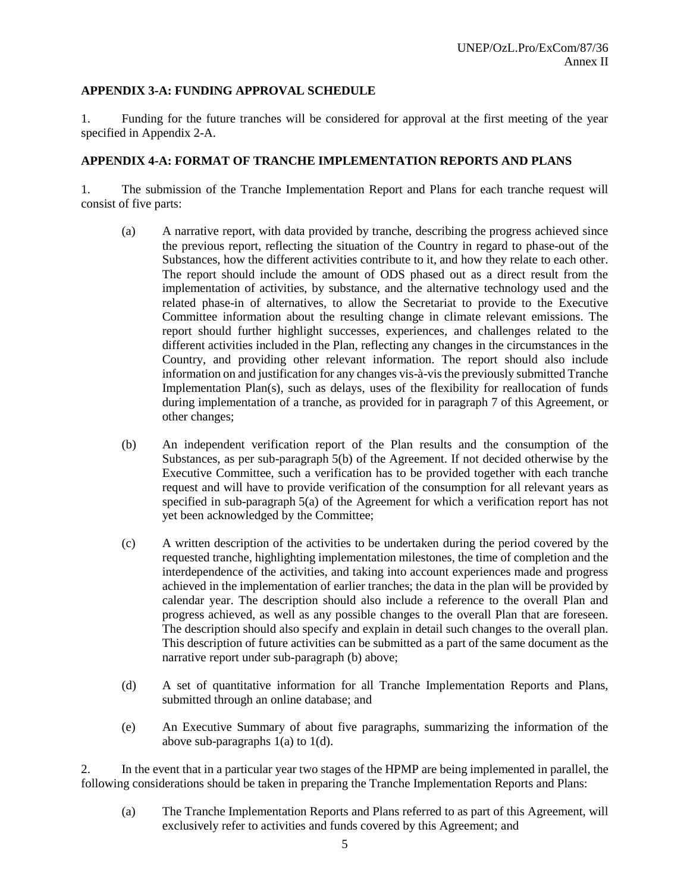# **APPENDIX 3-A: FUNDING APPROVAL SCHEDULE**

1. Funding for the future tranches will be considered for approval at the first meeting of the year specified in Appendix 2-A.

# **APPENDIX 4-A: FORMAT OF TRANCHE IMPLEMENTATION REPORTS AND PLANS**

1. The submission of the Tranche Implementation Report and Plans for each tranche request will consist of five parts:

- (a) A narrative report, with data provided by tranche, describing the progress achieved since the previous report, reflecting the situation of the Country in regard to phase-out of the Substances, how the different activities contribute to it, and how they relate to each other. The report should include the amount of ODS phased out as a direct result from the implementation of activities, by substance, and the alternative technology used and the related phase-in of alternatives, to allow the Secretariat to provide to the Executive Committee information about the resulting change in climate relevant emissions. The report should further highlight successes, experiences, and challenges related to the different activities included in the Plan, reflecting any changes in the circumstances in the Country, and providing other relevant information. The report should also include information on and justification for any changes vis-à-vis the previously submitted Tranche Implementation Plan(s), such as delays, uses of the flexibility for reallocation of funds during implementation of a tranche, as provided for in paragraph 7 of this Agreement, or other changes;
- (b) An independent verification report of the Plan results and the consumption of the Substances, as per sub-paragraph 5(b) of the Agreement. If not decided otherwise by the Executive Committee, such a verification has to be provided together with each tranche request and will have to provide verification of the consumption for all relevant years as specified in sub-paragraph 5(a) of the Agreement for which a verification report has not yet been acknowledged by the Committee;
- (c) A written description of the activities to be undertaken during the period covered by the requested tranche, highlighting implementation milestones, the time of completion and the interdependence of the activities, and taking into account experiences made and progress achieved in the implementation of earlier tranches; the data in the plan will be provided by calendar year. The description should also include a reference to the overall Plan and progress achieved, as well as any possible changes to the overall Plan that are foreseen. The description should also specify and explain in detail such changes to the overall plan. This description of future activities can be submitted as a part of the same document as the narrative report under sub-paragraph (b) above;
- (d) A set of quantitative information for all Tranche Implementation Reports and Plans, submitted through an online database; and
- (e) An Executive Summary of about five paragraphs, summarizing the information of the above sub-paragraphs 1(a) to 1(d).

2. In the event that in a particular year two stages of the HPMP are being implemented in parallel, the following considerations should be taken in preparing the Tranche Implementation Reports and Plans:

(a) The Tranche Implementation Reports and Plans referred to as part of this Agreement, will exclusively refer to activities and funds covered by this Agreement; and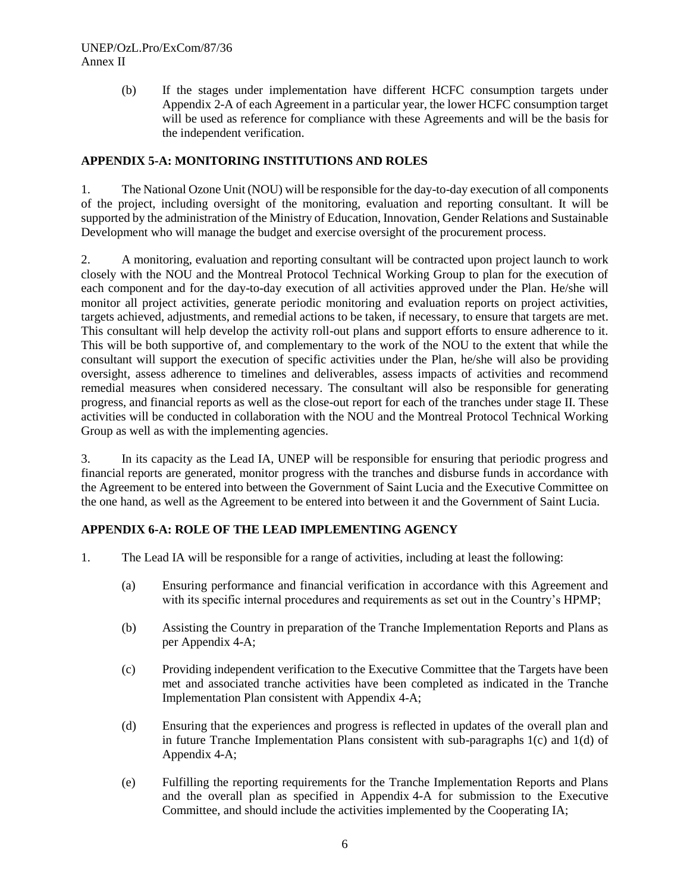# UNEP/OzL.Pro/ExCom/87/36 Annex II

(b) If the stages under implementation have different HCFC consumption targets under Appendix 2-A of each Agreement in a particular year, the lower HCFC consumption target will be used as reference for compliance with these Agreements and will be the basis for the independent verification.

# **APPENDIX 5-A: MONITORING INSTITUTIONS AND ROLES**

1. The National Ozone Unit (NOU) will be responsible for the day-to-day execution of all components of the project, including oversight of the monitoring, evaluation and reporting consultant. It will be supported by the administration of the Ministry of Education, Innovation, Gender Relations and Sustainable Development who will manage the budget and exercise oversight of the procurement process.

2. A monitoring, evaluation and reporting consultant will be contracted upon project launch to work closely with the NOU and the Montreal Protocol Technical Working Group to plan for the execution of each component and for the day-to-day execution of all activities approved under the Plan. He/she will monitor all project activities, generate periodic monitoring and evaluation reports on project activities, targets achieved, adjustments, and remedial actions to be taken, if necessary, to ensure that targets are met. This consultant will help develop the activity roll-out plans and support efforts to ensure adherence to it. This will be both supportive of, and complementary to the work of the NOU to the extent that while the consultant will support the execution of specific activities under the Plan, he/she will also be providing oversight, assess adherence to timelines and deliverables, assess impacts of activities and recommend remedial measures when considered necessary. The consultant will also be responsible for generating progress, and financial reports as well as the close-out report for each of the tranches under stage II. These activities will be conducted in collaboration with the NOU and the Montreal Protocol Technical Working Group as well as with the implementing agencies.

3. In its capacity as the Lead IA, UNEP will be responsible for ensuring that periodic progress and financial reports are generated, monitor progress with the tranches and disburse funds in accordance with the Agreement to be entered into between the Government of Saint Lucia and the Executive Committee on the one hand, as well as the Agreement to be entered into between it and the Government of Saint Lucia.

# **APPENDIX 6-A: ROLE OF THE LEAD IMPLEMENTING AGENCY**

- 1. The Lead IA will be responsible for a range of activities, including at least the following:
	- (a) Ensuring performance and financial verification in accordance with this Agreement and with its specific internal procedures and requirements as set out in the Country's HPMP;
	- (b) Assisting the Country in preparation of the Tranche Implementation Reports and Plans as per Appendix 4-A;
	- (c) Providing independent verification to the Executive Committee that the Targets have been met and associated tranche activities have been completed as indicated in the Tranche Implementation Plan consistent with Appendix 4-A;
	- (d) Ensuring that the experiences and progress is reflected in updates of the overall plan and in future Tranche Implementation Plans consistent with sub-paragraphs  $1(c)$  and  $1(d)$  of Appendix 4-A;
	- (e) Fulfilling the reporting requirements for the Tranche Implementation Reports and Plans and the overall plan as specified in Appendix 4-A for submission to the Executive Committee, and should include the activities implemented by the Cooperating IA;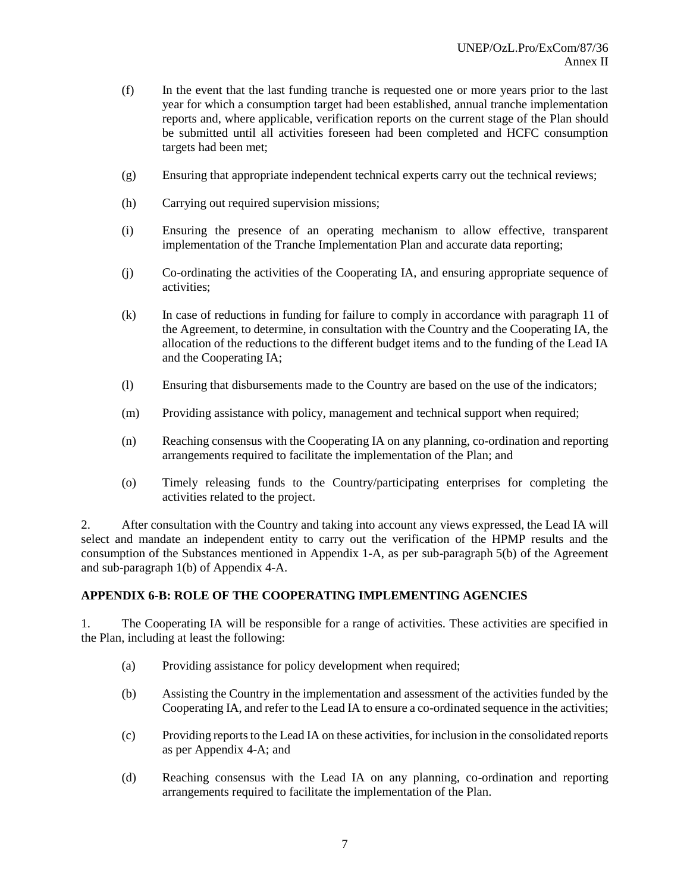- (f) In the event that the last funding tranche is requested one or more years prior to the last year for which a consumption target had been established, annual tranche implementation reports and, where applicable, verification reports on the current stage of the Plan should be submitted until all activities foreseen had been completed and HCFC consumption targets had been met;
- (g) Ensuring that appropriate independent technical experts carry out the technical reviews;
- (h) Carrying out required supervision missions;
- (i) Ensuring the presence of an operating mechanism to allow effective, transparent implementation of the Tranche Implementation Plan and accurate data reporting;
- (j) Co-ordinating the activities of the Cooperating IA, and ensuring appropriate sequence of activities;
- (k) In case of reductions in funding for failure to comply in accordance with paragraph 11 of the Agreement, to determine, in consultation with the Country and the Cooperating IA, the allocation of the reductions to the different budget items and to the funding of the Lead IA and the Cooperating IA;
- (l) Ensuring that disbursements made to the Country are based on the use of the indicators;
- (m) Providing assistance with policy, management and technical support when required;
- (n) Reaching consensus with the Cooperating IA on any planning, co-ordination and reporting arrangements required to facilitate the implementation of the Plan; and
- (o) Timely releasing funds to the Country/participating enterprises for completing the activities related to the project.

2. After consultation with the Country and taking into account any views expressed, the Lead IA will select and mandate an independent entity to carry out the verification of the HPMP results and the consumption of the Substances mentioned in Appendix 1-A, as per sub-paragraph 5(b) of the Agreement and sub-paragraph 1(b) of Appendix 4-A.

# **APPENDIX 6-B: ROLE OF THE COOPERATING IMPLEMENTING AGENCIES**

1. The Cooperating IA will be responsible for a range of activities. These activities are specified in the Plan, including at least the following:

- (a) Providing assistance for policy development when required;
- (b) Assisting the Country in the implementation and assessment of the activities funded by the Cooperating IA, and refer to the Lead IA to ensure a co-ordinated sequence in the activities;
- (c) Providing reports to the Lead IA on these activities, for inclusion in the consolidated reports as per Appendix 4-A; and
- (d) Reaching consensus with the Lead IA on any planning, co-ordination and reporting arrangements required to facilitate the implementation of the Plan.